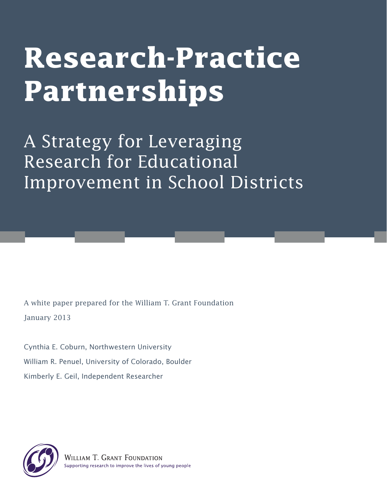# **Research-Practice Partnerships**

A Strategy for Leveraging Research for Educational Improvement in School Districts

A white paper prepared for the William T. Grant Foundation January 2013

Cynthia E. Coburn, Northwestern University William R. Penuel, University of Colorado, Boulder Kimberly E. Geil, Independent Researcher

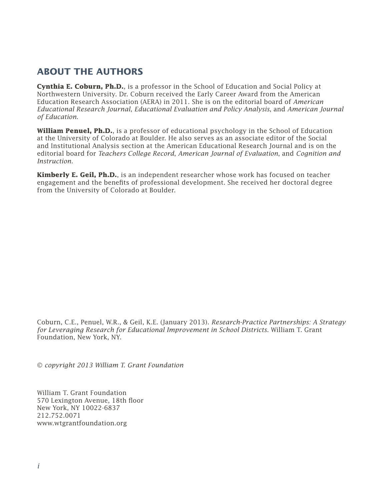### **ABOUT THE AUTHORS**

**Cynthia E. Coburn, Ph.D.**, is a professor in the School of Education and Social Policy at Northwestern University. Dr. Coburn received the Early Career Award from the American Education Research Association (AERA) in 2011. She is on the editorial board of *American Educational Research Journal*, *Educational Evaluation and Policy Analysis*, and *American Journal of Education*.

**William Penuel, Ph.D.**, is a professor of educational psychology in the School of Education at the University of Colorado at Boulder. He also serves as an associate editor of the Social and Institutional Analysis section at the American Educational Research Journal and is on the editorial board for *Teachers College Record*, *American Journal of Evaluation*, and *Cognition and Instruction.*

**Kimberly E. Geil, Ph.D.**, is an independent researcher whose work has focused on teacher engagement and the benefits of professional development. She received her doctoral degree from the University of Colorado at Boulder.

Coburn, C.E., Penuel, W.R., & Geil, K.E. (January 2013). *Research-Practice Partnerships: A Strategy for Leveraging Research for Educational Improvement in School Districts.* William T. Grant Foundation, New York, NY.

© *copyright 2013 William T. Grant Foundation*

William T. Grant Foundation 570 Lexington Avenue, 18th floor New York, NY 10022-6837 212.752.0071 www.wtgrantfoundation.org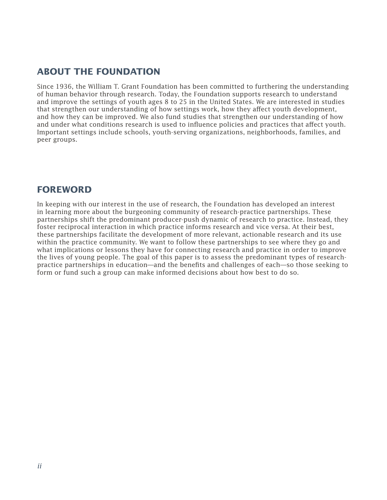### **ABOUT THE FOUNDATION**

Since 1936, the William T. Grant Foundation has been committed to furthering the understanding of human behavior through research. Today, the Foundation supports research to understand and improve the settings of youth ages 8 to 25 in the United States. We are interested in studies that strengthen our understanding of how settings work, how they affect youth development, and how they can be improved. We also fund studies that strengthen our understanding of how and under what conditions research is used to influence policies and practices that affect youth. Important settings include schools, youth-serving organizations, neighborhoods, families, and peer groups.

### **FOREWORD**

In keeping with our interest in the use of research, the Foundation has developed an interest in learning more about the burgeoning community of research-practice partnerships. These partnerships shift the predominant producer-push dynamic of research to practice. Instead, they foster reciprocal interaction in which practice informs research and vice versa. At their best, these partnerships facilitate the development of more relevant, actionable research and its use within the practice community. We want to follow these partnerships to see where they go and what implications or lessons they have for connecting research and practice in order to improve the lives of young people. The goal of this paper is to assess the predominant types of researchpractice partnerships in education—and the benefits and challenges of each—so those seeking to form or fund such a group can make informed decisions about how best to do so.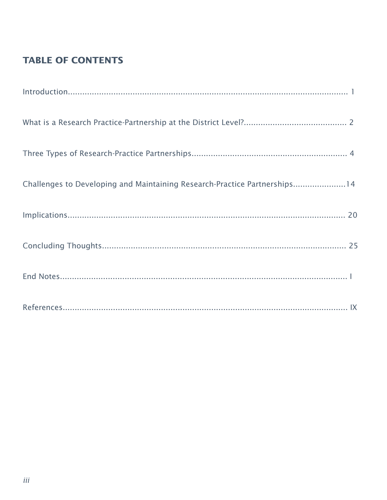### **TABLE OF CONTENTS**

| Challenges to Developing and Maintaining Research-Practice Partnerships14 |  |
|---------------------------------------------------------------------------|--|
|                                                                           |  |
|                                                                           |  |
|                                                                           |  |
|                                                                           |  |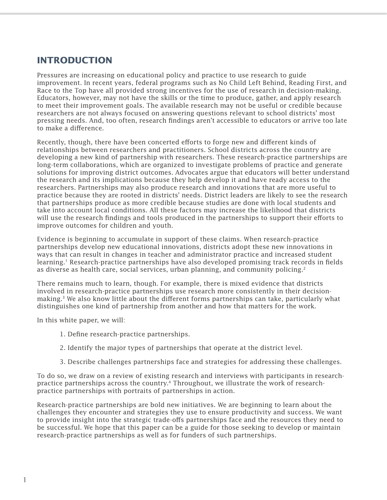### **INTRODUCTION**

Pressures are increasing on educational policy and practice to use research to guide improvement. In recent years, federal programs such as No Child Left Behind, Reading First, and Race to the Top have all provided strong incentives for the use of research in decision-making. Educators, however, may not have the skills or the time to produce, gather, and apply research to meet their improvement goals. The available research may not be useful or credible because researchers are not always focused on answering questions relevant to school districts' most pressing needs. And, too often, research findings aren't accessible to educators or arrive too late to make a difference.

Recently, though, there have been concerted efforts to forge new and different kinds of relationships between researchers and practitioners. School districts across the country are developing a new kind of partnership with researchers. These research-practice partnerships are long-term collaborations, which are organized to investigate problems of practice and generate solutions for improving district outcomes. Advocates argue that educators will better understand the research and its implications because they help develop it and have ready access to the researchers. Partnerships may also produce research and innovations that are more useful to practice because they are rooted in districts' needs. District leaders are likely to see the research that partnerships produce as more credible because studies are done with local students and take into account local conditions. All these factors may increase the likelihood that districts will use the research findings and tools produced in the partnerships to support their efforts to improve outcomes for children and youth.

Evidence is beginning to accumulate in support of these claims. When research-practice partnerships develop new educational innovations, districts adopt these new innovations in ways that can result in changes in teacher and administrator practice and increased student learning.<sup>1</sup> Research-practice partnerships have also developed promising track records in fields as diverse as health care, social services, urban planning, and community policing.<sup>2</sup>

There remains much to learn, though. For example, there is mixed evidence that districts involved in research-practice partnerships use research more consistently in their decisionmaking.<sup>3</sup> We also know little about the different forms partnerships can take, particularly what distinguishes one kind of partnership from another and how that matters for the work.

In this white paper, we will:

- 1. Define research-practice partnerships.
- 2. Identify the major types of partnerships that operate at the district level.
- 3. Describe challenges partnerships face and strategies for addressing these challenges.

To do so, we draw on a review of existing research and interviews with participants in researchpractice partnerships across the country.4 Throughout, we illustrate the work of researchpractice partnerships with portraits of partnerships in action.

Research-practice partnerships are bold new initiatives. We are beginning to learn about the challenges they encounter and strategies they use to ensure productivity and success. We want to provide insight into the strategic trade-offs partnerships face and the resources they need to be successful. We hope that this paper can be a guide for those seeking to develop or maintain research-practice partnerships as well as for funders of such partnerships.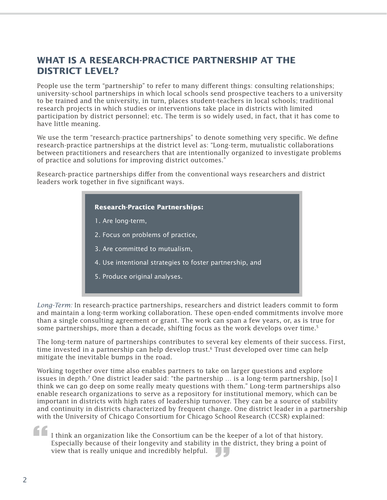### **WHAT IS A RESEARCH-PRACTICE PARTNERSHIP AT THE DISTRICT LEVEL?**

People use the term "partnership" to refer to many different things: consulting relationships; university-school partnerships in which local schools send prospective teachers to a university to be trained and the university, in turn, places student-teachers in local schools; traditional research projects in which studies or interventions take place in districts with limited participation by district personnel; etc. The term is so widely used, in fact, that it has come to have little meaning.

We use the term "research-practice partnerships" to denote something very specific. We define research-practice partnerships at the district level as: "Long-term, mutualistic collaborations between practitioners and researchers that are intentionally organized to investigate problems of practice and solutions for improving district outcomes."

Research-practice partnerships differ from the conventional ways researchers and district leaders work together in five significant ways.

### **Research-Practice Partnerships:**

1. Are long-term,

- 2. Focus on problems of practice,
- 3. Are committed to mutualism,
- 4. Use intentional strategies to foster partnership, and
- 5. Produce original analyses.

*Long-Term:* In research-practice partnerships, researchers and district leaders commit to form and maintain a long-term working collaboration. These open-ended commitments involve more than a single consulting agreement or grant. The work can span a few years, or, as is true for some partnerships, more than a decade, shifting focus as the work develops over time.<sup>5</sup>

The long-term nature of partnerships contributes to several key elements of their success. First, time invested in a partnership can help develop trust.<sup>6</sup> Trust developed over time can help mitigate the inevitable bumps in the road.

Working together over time also enables partners to take on larger questions and explore issues in depth.7 One district leader said: "the partnership … is a long-term partnership, [so] I think we can go deep on some really meaty questions with them." Long-term partnerships also enable research organizations to serve as a repository for institutional memory, which can be important in districts with high rates of leadership turnover. They can be a source of stability and continuity in districts characterized by frequent change. One district leader in a partnership with the University of Chicago Consortium for Chicago School Research (CCSR) explained:

 $\begin{array}{c} \begin{array}{c} \begin{array}{c} \text{if } t \end{array} \\ \begin{array}{c} \text{[} t \end{array} \\ \text{[} t \end{array} \\ \begin{array}{c} \text{[} t \end{array} \\ \begin{array}{c} \text{[} t \end{array} \end{array}$ view that is really unique and incredibly helpful. I think an organization like the Consortium can be the keeper of a lot of that history. Especially because of their longevity and stability in the district, they bring a point of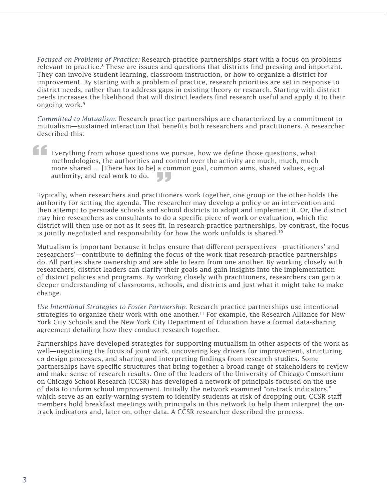*Focused on Problems of Practice:* Research-practice partnerships start with a focus on problems relevant to practice.<sup>8</sup> These are issues and questions that districts find pressing and important. They can involve student learning, classroom instruction, or how to organize a district for improvement. By starting with a problem of practice, research priorities are set in response to district needs, rather than to address gaps in existing theory or research. Starting with district needs increases the likelihood that will district leaders find research useful and apply it to their ongoing work.<sup>9</sup>

*Committed to Mutualism:* Research-practice partnerships are characterized by a commitment to mutualism—sustained interaction that benefits both researchers and practitioners. A researcher described this:

**f**<br>**Ev**<br>me<br>me more shared *in price has* to sep a common goal, common anno, shared variets, equalized authority, and real work to do.<br>Typically, when researchers and practitioners work together, one group or the other holds the Everything from whose questions we pursue, how we define those questions, what methodologies, the authorities and control over the activity are much, much, much more shared … [There has to be] a common goal, common aims, shared values, equal authority, and real work to do.

authority for setting the agenda. The researcher may develop a policy or an intervention and then attempt to persuade schools and school districts to adopt and implement it. Or, the district may hire researchers as consultants to do a specific piece of work or evaluation, which the district will then use or not as it sees fit. In research-practice partnerships, by contrast, the focus is jointly negotiated and responsibility for how the work unfolds is shared.<sup>10</sup>

Mutualism is important because it helps ensure that different perspectives—practitioners' and researchers'—contribute to defining the focus of the work that research-practice partnerships do. All parties share ownership and are able to learn from one another. By working closely with researchers, district leaders can clarify their goals and gain insights into the implementation of district policies and programs. By working closely with practitioners, researchers can gain a deeper understanding of classrooms, schools, and districts and just what it might take to make change.

*Use Intentional Strategies to Foster Partnership:* Research-practice partnerships use intentional strategies to organize their work with one another.11 For example, the Research Alliance for New York City Schools and the New York City Department of Education have a formal data-sharing agreement detailing how they conduct research together.

Partnerships have developed strategies for supporting mutualism in other aspects of the work as well—negotiating the focus of joint work, uncovering key drivers for improvement, structuring co-design processes, and sharing and interpreting findings from research studies. Some partnerships have specific structures that bring together a broad range of stakeholders to review and make sense of research results. One of the leaders of the University of Chicago Consortium on Chicago School Research (CCSR) has developed a network of principals focused on the use of data to inform school improvement. Initially the network examined "on-track indicators," which serve as an early-warning system to identify students at risk of dropping out. CCSR staff members hold breakfast meetings with principals in this network to help them interpret the ontrack indicators and, later on, other data. A CCSR researcher described the process: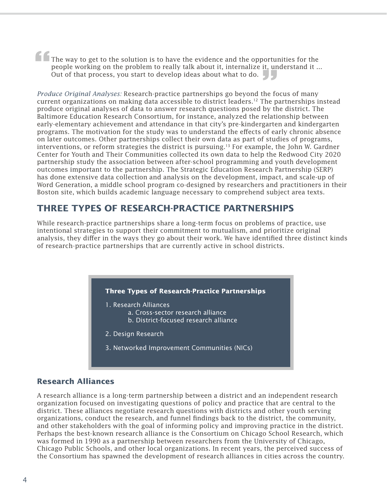**f The**<br>pec<br>Ou **The Monthly Contriguent Control Control Control Control Control Control Control Control Control Control Control Control Control Control Control Control Control Control Control Control Control Control Control Control Contr** The way to get to the solution is to have the evidence and the opportunities for the people working on the problem to really talk about it, internalize it, understand it ... Out of that process, you start to develop ideas about what to do.

current organizations on making data accessible to district leaders.<sup>12</sup> The partnerships instead produce original analyses of data to answer research questions posed by the district. The Baltimore Education Research Consortium, for instance, analyzed the relationship between early-elementary achievement and attendance in that city's pre-kindergarten and kindergarten programs. The motivation for the study was to understand the effects of early chronic absence on later outcomes. Other partnerships collect their own data as part of studies of programs, interventions, or reform strategies the district is pursuing.<sup>13</sup> For example, the John W. Gardner Center for Youth and Their Communities collected its own data to help the Redwood City 2020 partnership study the association between after-school programming and youth development outcomes important to the partnership. The Strategic Education Research Partnership (SERP) has done extensive data collection and analysis on the development, impact, and scale-up of Word Generation, a middle school program co-designed by researchers and practitioners in their Boston site, which builds academic language necessary to comprehend subject area texts.

### **THREE TYPES OF RESEARCH-PRACTICE PARTNERSHIPS**

While research-practice partnerships share a long-term focus on problems of practice, use intentional strategies to support their commitment to mutualism, and prioritize original analysis, they differ in the ways they go about their work. We have identified three distinct kinds of research-practice partnerships that are currently active in school districts.

### **Three Types of Research-Practice Partnerships**

#### 1. Research Alliances

- a. Cross-sector research alliance
- b. District-focused research alliance
- 2. Design Research
- 3. Networked Improvement Communities (NICs)

### **Research Alliances**

A research alliance is a long-term partnership between a district and an independent research organization focused on investigating questions of policy and practice that are central to the district. These alliances negotiate research questions with districts and other youth serving organizations, conduct the research, and funnel findings back to the district, the community, and other stakeholders with the goal of informing policy and improving practice in the district. Perhaps the best-known research alliance is the Consortium on Chicago School Research, which was formed in 1990 as a partnership between researchers from the University of Chicago, Chicago Public Schools, and other local organizations. In recent years, the perceived success of the Consortium has spawned the development of research alliances in cities across the country.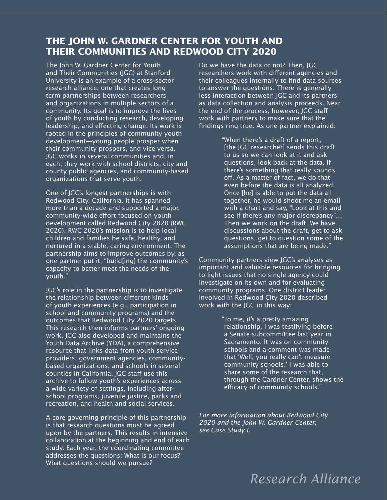### **THE JOHN W. GARDNER CENTER FOR YOUTH AND THEIR COMMUNITIES AND REDWOOD CITY 2020**

The John W. Gardner Center for Youth and Their Communities (JGC) at Stanford University is an example of a cross-sector research alliance: one that creates longterm partnerships between researchers and organizations in multiple sectors of a community. Its goal is to improve the lives of youth by conducting research, developing leadership, and effecting change. Its work is rooted in the principles of community youth development—young people prosper when their community prospers, and vice versa. JGC works in several communities and, in each, they work with school districts, city and county public agencies, and community-based organizations that serve youth.

One of JGC's longest partnerships is with Redwood City, California. It has spanned more than a decade and supported a major, community-wide effort focused on youth development called Redwood City 2020 (RWC 2020). RWC 2020's mission is to help local children and families be safe, healthy, and nurtured in a stable, caring environment. The partnership aims to improve outcomes by, as one partner put it, "build[ing] the community's capacity to better meet the needs of the youth."

JGC's role in the partnership is to investigate the relationship between different kinds of youth experiences (e.g., participation in school and community programs) and the outcomes that Redwood City 2020 targets. This research then informs partners' ongoing work. JGC also developed and maintains the Youth Data Archive (YDA), a comprehensive resource that links data from youth service providers, government agencies, communitybased organizations, and schools in several counties in California. JGC staff use this archive to follow youth's experiences across a wide variety of settings, including afterschool programs, juvenile justice, parks and recreation, and health and social services.

A core governing principle of this partnership is that research questions must be agreed upon by the partners. This results in intensive collaboration at the beginning and end of each study. Each year, the coordinating committee addresses the questions: What is our focus? What questions should we pursue?

Do we have the data or not? Then, JGC researchers work with different agencies and their colleagues internally to find data sources to answer the questions. There is generally less interaction between JGC and its partners as data collection and analysis proceeds. Near the end of the process, however, JGC staff work with partners to make sure that the findings ring true. As one partner explained:

> "When there's a draft of a report, [the JGC researcher] sends this draft to us so we can look at it and ask questions, look back at the data, if there's something that really sounds off. As a matter of fact, we do that even before the data is all analyzed. Once [he] is able to put the data all together, he would shoot me an email with a chart and say, "Look at this and see if there's any major discrepancy"… Then we work on the draft. We have discussions about the draft, get to ask questions, get to question some of the assumptions that are being made."

Community partners view JGC's analyses as important and valuable resources for bringing to light issues that no single agency could investigate on its own and for evaluating community programs. One district leader involved in Redwood City 2020 described work with the JGC in this way:

> "To me, it's a pretty amazing relationship. I was testifying before a Senate subcommittee last year in Sacramento. It was on community schools and a comment was made that 'Well, you really can't measure community schools.' I was able to share some of the research that, through the Gardner Center, shows the efficacy of community schools."

*For more information about Redwood City 2020 and the John W. Gardner Center, see Case Study I.* 

# *Research Alliance*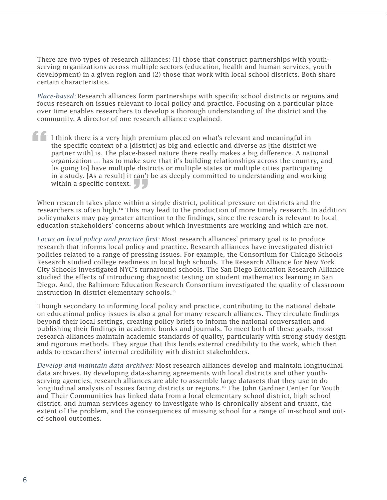There are two types of research alliances: (1) those that construct partnerships with youthserving organizations across multiple sectors (education, health and human services, youth development) in a given region and (2) those that work with local school districts. Both share certain characteristics.

*Place-based:* Research alliances form partnerships with specific school districts or regions and focus research on issues relevant to local policy and practice. Focusing on a particular place over time enables researchers to develop a thorough understanding of the district and the community. A director of one research alliance explained:

**"** within a specific context.<br>
When research takes place within a single district, political pressure on districts and the I think there is a very high premium placed on what's relevant and meaningful in the specific context of a [district] as big and eclectic and diverse as [the district we partner with] is. The place-based nature there really makes a big difference. A national organization … has to make sure that it's building relationships across the country, and [is going to] have multiple districts or multiple states or multiple cities participating in a study. [As a result] it can't be as deeply committed to understanding and working within a specific context.  $\begin{bmatrix} 1 \\ 2 \end{bmatrix}$ 

researchers is often high.<sup>14</sup> This may lead to the production of more timely research. In addition policymakers may pay greater attention to the findings, since the research is relevant to local education stakeholders' concerns about which investments are working and which are not.

*Focus on local policy and practice first:* Most research alliances' primary goal is to produce research that informs local policy and practice. Research alliances have investigated district policies related to a range of pressing issues. For example, the Consortium for Chicago Schools Research studied college readiness in local high schools. The Research Alliance for New York City Schools investigated NYC's turnaround schools. The San Diego Education Research Alliance studied the effects of introducing diagnostic testing on student mathematics learning in San Diego. And, the Baltimore Education Research Consortium investigated the quality of classroom instruction in district elementary schools.<sup>15</sup>

Though secondary to informing local policy and practice, contributing to the national debate on educational policy issues is also a goal for many research alliances. They circulate findings beyond their local settings, creating policy briefs to inform the national conversation and publishing their findings in academic books and journals. To meet both of these goals, most research alliances maintain academic standards of quality, particularly with strong study design and rigorous methods. They argue that this lends external credibility to the work, which then adds to researchers' internal credibility with district stakeholders.

*Develop and maintain data archives:* Most research alliances develop and maintain longitudinal data archives. By developing data-sharing agreements with local districts and other youthserving agencies, research alliances are able to assemble large datasets that they use to do longitudinal analysis of issues facing districts or regions.<sup>16</sup> The John Gardner Center for Youth and Their Communities has linked data from a local elementary school district, high school district, and human services agency to investigate who is chronically absent and truant, the extent of the problem, and the consequences of missing school for a range of in-school and outof-school outcomes.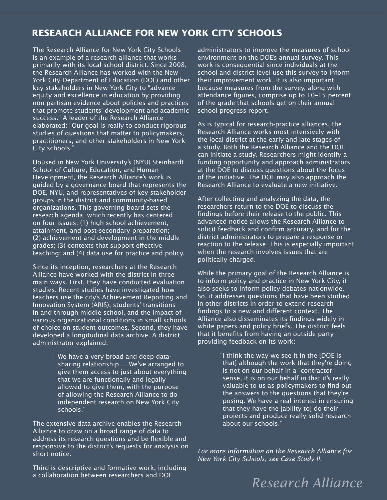### **RESEARCH ALLIANCE FOR NEW YORK CITY SCHOOLS**

The Research Alliance for New York City Schools is an example of a research alliance that works primarily with its local school district. Since 2008, the Research Alliance has worked with the New York City Department of Education (DOE) and other key stakeholders in New York City to "advance equity and excellence in education by providing non-partisan evidence about policies and practices that promote students' development and academic success." A leader of the Research Alliance elaborated: "Our goal is really to conduct rigorous studies of questions that matter to policymakers, practitioners, and other stakeholders in New York City schools."

Housed in New York University's (NYU) Steinhardt School of Culture, Education, and Human Development, the Research Alliance's work is guided by a governance board that represents the DOE, NYU, and representatives of key stakeholder groups in the district and community-based organizations. This governing board sets the research agenda, which recently has centered on four issues: (1) high school achievement, attainment, and post-secondary preparation; (2) achievement and development in the middle grades; (3) contexts that support effective teaching; and (4) data use for practice and policy.

Since its inception, researchers at the Research Alliance have worked with the district in three main ways. First, they have conducted evaluation studies. Recent studies have investigated how teachers use the city's Achievement Reporting and Innovation System (ARIS), students' transitions in and through middle school, and the impact of various organizational conditions in small schools of choice on student outcomes. Second, they have developed a longitudinal data archive. A district administrator explained:

> "We have a very broad and deep datasharing relationship ... We've arranged to give them access to just about everything that we are functionally and legally allowed to give them, with the purpose of allowing the Research Alliance to do independent research on New York City schools."

The extensive data archive enables the Research Alliance to draw on a broad range of data to address its research questions and be flexible and responsive to the district's requests for analysis on short notice.

Third is descriptive and formative work, including a collaboration between researchers and DOE

administrators to improve the measures of school environment on the DOE's annual survey. This work is consequential since individuals at the school and district level use this survey to inform their improvement work. It is also important because measures from the survey, along with attendance figures, comprise up to  $10-15$  percent of the grade that schools get on their annual school progress report.

As is typical for research-practice alliances, the Research Alliance works most intensively with the local district at the early and late stages of a study. Both the Research Alliance and the DOE can initiate a study. Researchers might identify a funding opportunity and approach administrators at the DOE to discuss questions about the focus of the initiative. The DOE may also approach the Research Alliance to evaluate a new initiative.

After collecting and analyzing the data, the researchers return to the DOE to discuss the findings before their release to the public. This advanced notice allows the Research Alliance to solicit feedback and confirm accuracy, and for the district administrators to prepare a response or reaction to the release. This is especially important when the research involves issues that are politically charged.

While the primary goal of the Research Alliance is to inform policy and practice in New York City, it also seeks to inform policy debates nationwide. So, it addresses questions that have been studied in other districts in order to extend research findings to a new and different context. The Alliance also disseminates its findings widely in white papers and policy briefs. The district feels that it benefits from having an outside party providing feedback on its work:

> "I think the way we see it in the [DOE is that] although the work that they're doing is not on our behalf in a "contractor" sense, it is on our behalf in that it's really valuable to us as policymakers to find out the answers to the questions that they're posing. We have a real interest in ensuring that they have the [ability to] do their projects and produce really solid research about our schools."

*For more information on the Research Alliance for New York City Schools, see Case Study II.*

# *Research Alliance*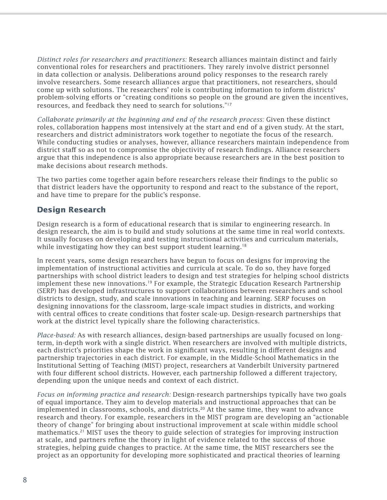*Distinct roles for researchers and practitioners:* Research alliances maintain distinct and fairly conventional roles for researchers and practitioners. They rarely involve district personnel in data collection or analysis. Deliberations around policy responses to the research rarely involve researchers. Some research alliances argue that practitioners, not researchers, should come up with solutions. The researchers' role is contributing information to inform districts' problem-solving efforts or "creating conditions so people on the ground are given the incentives, resources, and feedback they need to search for solutions."<sup>17</sup>

*Collaborate primarily at the beginning and end of the research process:* Given these distinct roles, collaboration happens most intensively at the start and end of a given study. At the start, researchers and district administrators work together to negotiate the focus of the research. While conducting studies or analyses, however, alliance researchers maintain independence from district staff so as not to compromise the objectivity of research findings. Alliance researchers argue that this independence is also appropriate because researchers are in the best position to make decisions about research methods.

The two parties come together again before researchers release their findings to the public so that district leaders have the opportunity to respond and react to the substance of the report, and have time to prepare for the public's response.

### **Design Research**

Design research is a form of educational research that is similar to engineering research. In design research, the aim is to build and study solutions at the same time in real world contexts. It usually focuses on developing and testing instructional activities and curriculum materials, while investigating how they can best support student learning.<sup>18</sup>

In recent years, some design researchers have begun to focus on designs for improving the implementation of instructional activities and curricula at scale. To do so, they have forged partnerships with school district leaders to design and test strategies for helping school districts implement these new innovations.19 For example, the Strategic Education Research Partnership (SERP) has developed infrastructures to support collaborations between researchers and school districts to design, study, and scale innovations in teaching and learning. SERP focuses on designing innovations for the classroom, large-scale impact studies in districts, and working with central offices to create conditions that foster scale-up. Design-research partnerships that work at the district level typically share the following characteristics.

*Place-based:* As with research alliances, design-based partnerships are usually focused on longterm, in-depth work with a single district. When researchers are involved with multiple districts, each district's priorities shape the work in significant ways, resulting in different designs and partnership trajectories in each district. For example, in the Middle-School Mathematics in the Institutional Setting of Teaching (MIST) project, researchers at Vanderbilt University partnered with four different school districts. However, each partnership followed a different trajectory, depending upon the unique needs and context of each district.

*Focus on informing practice and research:* Design-research partnerships typically have two goals of equal importance. They aim to develop materials and instructional approaches that can be implemented in classrooms, schools, and districts.<sup>20</sup> At the same time, they want to advance research and theory. For example, researchers in the MIST program are developing an "actionable theory of change" for bringing about instructional improvement at scale within middle school mathematics.<sup>21</sup> MIST uses the theory to guide selection of strategies for improving instruction at scale, and partners refine the theory in light of evidence related to the success of those strategies, helping guide changes to practice. At the same time, the MIST researchers see the project as an opportunity for developing more sophisticated and practical theories of learning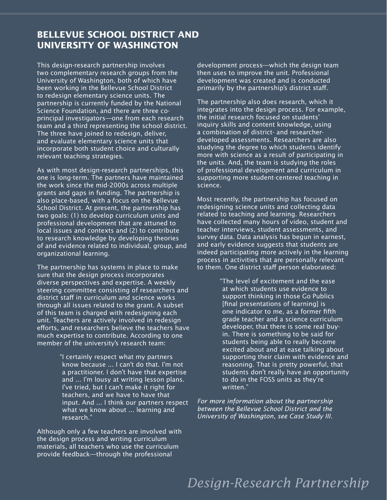### **BELLEVUE SCHOOL DISTRICT AND UNIVERSITY OF WASHINGTON**

This design-research partnership involves two complementary research groups from the University of Washington, both of which have been working in the Bellevue School District to redesign elementary science units. The partnership is currently funded by the National Science Foundation, and there are three coprincipal investigators—one from each research team and a third representing the school district. The three have joined to redesign, deliver, and evaluate elementary science units that incorporate both student choice and culturally relevant teaching strategies.

As with most design-research partnerships, this one is long-term. The partners have maintained the work since the mid-2000s across multiple grants and gaps in funding. The partnership is also place-based, with a focus on the Bellevue School District. At present, the partnership has two goals: (1) to develop curriculum units and professional development that are attuned to local issues and contexts and (2) to contribute to research knowledge by developing theories of and evidence related to individual, group, and organizational learning.

The partnership has systems in place to make sure that the design process incorporates diverse perspectives and expertise. A weekly steering committee consisting of researchers and district staff in curriculum and science works through all issues related to the grant. A subset of this team is charged with redesigning each unit. Teachers are actively involved in redesign efforts, and researchers believe the teachers have much expertise to contribute. According to one member of the university's research team:

> "I certainly respect what my partners know because ... I can't do that. I'm not a practitioner. I don't have that expertise and ... I'm lousy at writing lesson plans. I've tried, but I can't make it right for teachers, and we have to have that input. And ... I think our partners respect what we know about ... learning and research."

Although only a few teachers are involved with the design process and writing curriculum materials, all teachers who use the curriculum provide feedback—through the professional

development process—which the design team then uses to improve the unit. Professional development was created and is conducted primarily by the partnership's district staff.

The partnership also does research, which it integrates into the design process. For example, the initial research focused on students' inquiry skills and content knowledge, using a combination of district- and researcherdeveloped assessments. Researchers are also studying the degree to which students identify more with science as a result of participating in the units. And, the team is studying the roles of professional development and curriculum in supporting more student-centered teaching in science.

Most recently, the partnership has focused on redesigning science units and collecting data related to teaching and learning. Researchers have collected many hours of video, student and teacher interviews, student assessments, and survey data. Data analysis has begun in earnest, and early evidence suggests that students are indeed participating more actively in the learning process in activities that are personally relevant to them. One district staff person elaborated:

> "The level of excitement and the ease at which students use evidence to support thinking in those Go Publics [final presentations of learning] is one indicator to me, as a former fifth grade teacher and a science curriculum developer, that there is some real buyin. There is something to be said for students being able to really become excited about and at ease talking about supporting their claim with evidence and reasoning. That is pretty powerful, that students don't really have an opportunity to do in the FOSS units as they're written."

*For more information about the partnership between the Bellevue School District and the University of Washington, see Case Study III.* 

# *Design-Research Partnership*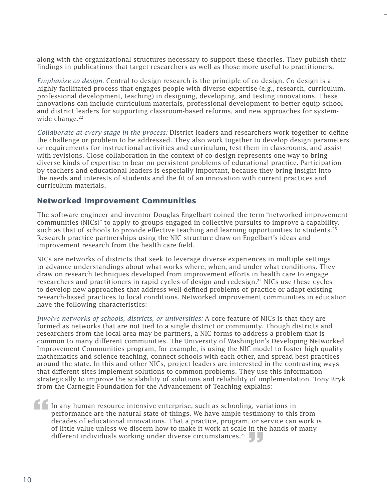along with the organizational structures necessary to support these theories. They publish their findings in publications that target researchers as well as those more useful to practitioners.

*Emphasize co-design:* Central to design research is the principle of co-design. Co-design is a highly facilitated process that engages people with diverse expertise (e.g., research, curriculum, professional development, teaching) in designing, developing, and testing innovations. These innovations can include curriculum materials, professional development to better equip school and district leaders for supporting classroom-based reforms, and new approaches for systemwide change.<sup>22</sup>

*Collaborate at every stage in the process: District leaders and researchers work together to define* the challenge or problem to be addressed. They also work together to develop design parameters or requirements for instructional activities and curriculum, test them in classrooms, and assist with revisions. Close collaboration in the context of co-design represents one way to bring diverse kinds of expertise to bear on persistent problems of educational practice. Participation by teachers and educational leaders is especially important, because they bring insight into the needs and interests of students and the fit of an innovation with current practices and curriculum materials.

### **Networked Improvement Communities**

The software engineer and inventor Douglas Engelbart coined the term "networked improvement communities (NICs)" to apply to groups engaged in collective pursuits to improve a capability, such as that of schools to provide effective teaching and learning opportunities to students.<sup>23</sup> Research-practice partnerships using the NIC structure draw on Engelbart's ideas and improvement research from the health care field.

NICs are networks of districts that seek to leverage diverse experiences in multiple settings to advance understandings about what works where, when, and under what conditions. They draw on research techniques developed from improvement efforts in health care to engage researchers and practitioners in rapid cycles of design and redesign.<sup>24</sup> NICs use these cycles to develop new approaches that address well-defined problems of practice or adapt existing research-based practices to local conditions. Networked improvement communities in education have the following characteristics:

*Involve networks of schools, districts, or universities:* A core feature of NICs is that they are formed as networks that are not tied to a single district or community. Though districts and researchers from the local area may be partners, a NIC forms to address a problem that is common to many different communities. The University of Washington's Developing Networked Improvement Communities program, for example, is using the NIC model to foster high-quality mathematics and science teaching, connect schools with each other, and spread best practices around the state. In this and other NICs, project leaders are interested in the contrasting ways that different sites implement solutions to common problems. They use this information strategically to improve the scalability of solutions and reliability of implementation. Tony Bryk from the Carnegie Foundation for the Advancement of Teaching explains:

In any human resource intensive enterprise, such as schooling, variations in performance are the natural state of things. We have ample testimony to this from decades of educational innovations. That a practice, program, or service can work is of little value unless we discern how to make it work at scale in the hands of many different individuals working under diverse circumstances.<sup>25</sup> f In perfect of a set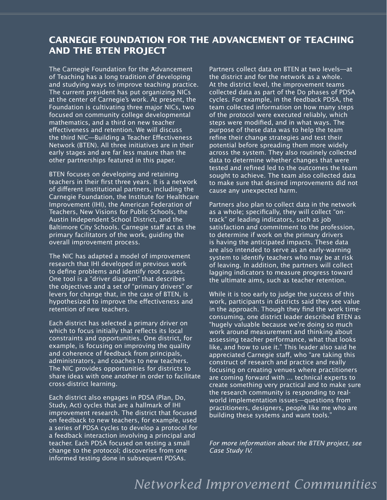### **CARNEGIE FOUNDATION FOR THE ADVANCEMENT OF TEACHING AND THE BTEN PROJECT**

The Carnegie Foundation for the Advancement of Teaching has a long tradition of developing and studying ways to improve teaching practice. The current president has put organizing NICs at the center of Carnegie's work. At present, the Foundation is cultivating three major NICs, two focused on community college developmental mathematics, and a third on new teacher effectiveness and retention. We will discuss the third NIC—Building a Teacher Effectiveness Network (BTEN). All three initiatives are in their early stages and are far less mature than the other partnerships featured in this paper.

BTEN focuses on developing and retaining teachers in their first three years. It is a network of different institutional partners, including the Carnegie Foundation, the Institute for Healthcare Improvement (IHI), the American Federation of Teachers, New Visions for Public Schools, the Austin Independent School District, and the Baltimore City Schools. Carnegie staff act as the primary facilitators of the work, guiding the overall improvement process.

The NIC has adapted a model of improvement research that IHI developed in previous work to define problems and identify root causes. One tool is a "driver diagram" that describes the objectives and a set of "primary drivers" or levers for change that, in the case of BTEN, is hypothesized to improve the effectiveness and retention of new teachers.

Each district has selected a primary driver on which to focus initially that reflects its local constraints and opportunities. One district, for example, is focusing on improving the quality and coherence of feedback from principals, administrators, and coaches to new teachers. The NIC provides opportunities for districts to share ideas with one another in order to facilitate cross-district learning.

Each district also engages in PDSA (Plan, Do, Study, Act) cycles that are a hallmark of IHI improvement research. The district that focused on feedback to new teachers, for example, used a series of PDSA cycles to develop a protocol for a feedback interaction involving a principal and teacher. Each PDSA focused on testing a small change to the protocol; discoveries from one informed testing done in subsequent PDSAs.

Partners collect data on BTEN at two levels—at the district and for the network as a whole. At the district level, the improvement teams collected data as part of the Do phases of PDSA cycles. For example, in the feedback PDSA, the team collected information on how many steps of the protocol were executed reliably, which steps were modified, and in what ways. The purpose of these data was to help the team refine their change strategies and test their potential before spreading them more widely across the system. They also routinely collected data to determine whether changes that were tested and refined led to the outcomes the team sought to achieve. The team also collected data to make sure that desired improvements did not cause any unexpected harm.

Partners also plan to collect data in the network as a whole; specifically, they will collect "ontrack" or leading indicators, such as job satisfaction and commitment to the profession, to determine if work on the primary drivers is having the anticipated impacts. These data are also intended to serve as an early-warning system to identify teachers who may be at risk of leaving. In addition, the partners will collect lagging indicators to measure progress toward the ultimate aims, such as teacher retention.

While it is too early to judge the success of this work, participants in districts said they see value in the approach. Though they find the work timeconsuming, one district leader described BTEN as "hugely valuable because we're doing so much work around measurement and thinking about assessing teacher performance, what that looks like, and how to use it." This leader also said he appreciated Carnegie staff, who "are taking this construct of research and practice and really focusing on creating venues where practitioners are coming forward with ... technical experts to create something very practical and to make sure the research community is responding to realworld implementation issues—questions from practitioners, designers, people like me who are building these systems and want tools."

*For more information about the BTEN project, see Case Study IV.*

### *Networked Improvement Communities*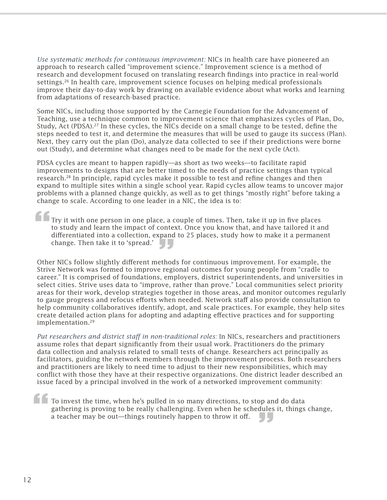*Use systematic methods for continuous improvement:* NICs in health care have pioneered an approach to research called "improvement science." Improvement science is a method of research and development focused on translating research findings into practice in real-world settings.26 In health care, improvement science focuses on helping medical professionals improve their day-to-day work by drawing on available evidence about what works and learning from adaptations of research-based practice.

Some NICs, including those supported by the Carnegie Foundation for the Advancement of Teaching, use a technique common to improvement science that emphasizes cycles of Plan, Do, Study, Act (PDSA).<sup>27</sup> In these cycles, the NICs decide on a small change to be tested, define the steps needed to test it, and determine the measures that will be used to gauge its success (Plan). Next, they carry out the plan (Do), analyze data collected to see if their predictions were borne out (Study), and determine what changes need to be made for the next cycle (Act).

PDSA cycles are meant to happen rapidly—as short as two weeks—to facilitate rapid improvements to designs that are better timed to the needs of practice settings than typical research.<sup>28</sup> In principle, rapid cycles make it possible to test and refine changes and then expand to multiple sites within a single school year. Rapid cycles allow teams to uncover major problems with a planned change quickly, as well as to get things "mostly right" before taking a change to scale. According to one leader in a NIC, the idea is to:

Try it with one person in one place, a couple of times. Then, take it up in five places to study and learn the impact of context. Once you know that, and have tailored it and differentiated into a collection, expand to 25 places, study how to make it a permanent **f**<br> **f**<br> **f**<br> **f**<br> **f**<br> **diff** 

change. Then take it to 'spread.' Other NICs follow slightly different methods for continuous improvement. For example, the Strive Network was formed to improve regional outcomes for young people from "cradle to career." It is comprised of foundations, employers, district superintendents, and universities in select cities. Strive uses data to "improve, rather than prove." Local communities select priority areas for their work, develop strategies together in those areas, and monitor outcomes regularly to gauge progress and refocus efforts when needed. Network staff also provide consultation to help community collaboratives identify, adopt, and scale practices. For example, they help sites create detailed action plans for adopting and adapting effective practices and for supporting implementation.<sup>29</sup>

*Put researchers and district sta" in non-traditional roles:* In NICs, researchers and practitioners assume roles that depart significantly from their usual work. Practitioners do the primary data collection and analysis related to small tests of change. Researchers act principally as facilitators, guiding the network members through the improvement process. Both researchers and practitioners are likely to need time to adjust to their new responsibilities, which may conflict with those they have at their respective organizations. One district leader described an issue faced by a principal involved in the work of a networked improvement community:

To invest the time, when he's pulled in so many directions, to stop and do data gathering is proving to be really challenging. Even when he schedules it, things change, a teacher may be out—things routinely happen to throw it off. **f f** To ga a t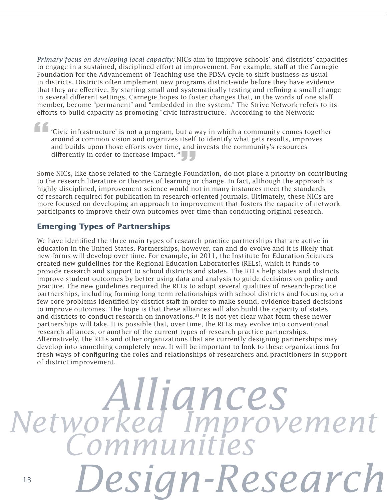*Primary focus on developing local capacity:* NICs aim to improve schools' and districts' capacities to engage in a sustained, disciplined effort at improvement. For example, staff at the Carnegie Foundation for the Advancement of Teaching use the PDSA cycle to shift business-as-usual in districts. Districts often implement new programs district-wide before they have evidence that they are effective. By starting small and systematically testing and refining a small change in several different settings, Carnegie hopes to foster changes that, in the words of one staff member, become "permanent" and "embedded in the system." The Strive Network refers to its efforts to build capacity as promoting "civic infrastructure." According to the Network:

'Civic infrastructure' is not a program, but a way in which a community comes together around a common vision and organizes itself to identify what gets results, improves and builds upon those efforts over time, and invests the community's resources differently in order to increase impact.<sup>30</sup> **f**<br>**f**<br>**f**<br>**i**<br>**and**<br>**and** 

Some NICs, like those related to the Carnegie Foundation, do not place a priority on contributing Some NICs, like those related to the Carnegie Foundation, do not place a priority on contributing to the research literature or theories of learning or change. In fact, although the approach is highly disciplined, improvement science would not in many instances meet the standards of research required for publication in research-oriented journals. Ultimately, these NICs are more focused on developing an approach to improvement that fosters the capacity of network participants to improve their own outcomes over time than conducting original research.

### **Emerging Types of Partnerships**

We have identified the three main types of research-practice partnerships that are active in education in the United States. Partnerships, however, can and do evolve and it is likely that new forms will develop over time. For example, in 2011, the Institute for Education Sciences created new guidelines for the Regional Education Laboratories (RELs), which it funds to provide research and support to school districts and states. The RELs help states and districts improve student outcomes by better using data and analysis to guide decisions on policy and practice. The new guidelines required the RELs to adopt several qualities of research-practice partnerships, including forming long-term relationships with school districts and focusing on a few core problems identified by district staff in order to make sound, evidence-based decisions to improve outcomes. The hope is that these alliances will also build the capacity of states and districts to conduct research on innovations.<sup>31</sup> It is not yet clear what form these newer partnerships will take. It is possible that, over time, the RELs may evolve into conventional research alliances, or another of the current types of research-practice partnerships. Alternatively, the RELs and other organizations that are currently designing partnerships may develop into something completely new. It will be important to look to these organizations for fresh ways of configuring the roles and relationships of researchers and practitioners in support of district improvement.

# 13 *Alliances Design-Research Networked Improvement Communities*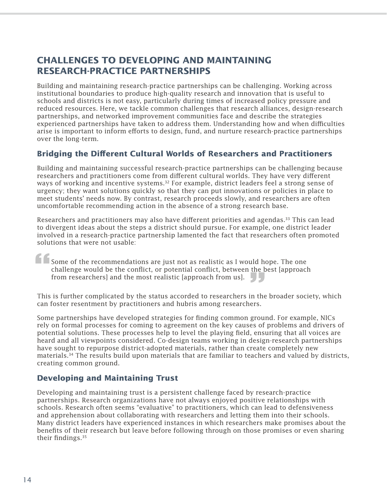### **CHALLENGES TO DEVELOPING AND MAINTAINING RESEARCH-PRACTICE PARTNERSHIPS**

Building and maintaining research-practice partnerships can be challenging. Working across institutional boundaries to produce high-quality research and innovation that is useful to schools and districts is not easy, particularly during times of increased policy pressure and reduced resources. Here, we tackle common challenges that research alliances, design-research partnerships, and networked improvement communities face and describe the strategies experienced partnerships have taken to address them. Understanding how and when difficulties arise is important to inform efforts to design, fund, and nurture research-practice partnerships over the long-term.

### **Bridging the Di!erent Cultural Worlds of Researchers and Practitioners**

Building and maintaining successful research-practice partnerships can be challenging because researchers and practitioners come from different cultural worlds. They have very different ways of working and incentive systems.<sup>32</sup> For example, district leaders feel a strong sense of urgency; they want solutions quickly so that they can put innovations or policies in place to meet students' needs now. By contrast, research proceeds slowly, and researchers are often uncomfortable recommending action in the absence of a strong research base.

Researchers and practitioners may also have different priorities and agendas. $33$  This can lead to divergent ideas about the steps a district should pursue. For example, one district leader involved in a research-practice partnership lamented the fact that researchers often promoted solutions that were not usable:

Some of the recommendations are just not as realistic as I would hope. The one challenge would be the conflict, or potential conflict, between the best [approach] from researchers] and the most realistic [approach from us].  $\Box$ This is further complicated by the status accorded to researchers in the broader society, which This is further complicated by the status accorded to researchers in the broader society, which **f**<br>Sor<br>cha<br>fro

can foster resentment by practitioners and hubris among researchers.

Some partnerships have developed strategies for finding common ground. For example, NICs rely on formal processes for coming to agreement on the key causes of problems and drivers of potential solutions. These processes help to level the playing field, ensuring that all voices are heard and all viewpoints considered. Co-design teams working in design-research partnerships have sought to repurpose district-adopted materials, rather than create completely new materials.34 The results build upon materials that are familiar to teachers and valued by districts, creating common ground.

### **Developing and Maintaining Trust**

Developing and maintaining trust is a persistent challenge faced by research-practice partnerships. Research organizations have not always enjoyed positive relationships with schools. Research often seems "evaluative" to practitioners, which can lead to defensiveness and apprehension about collaborating with researchers and letting them into their schools. Many district leaders have experienced instances in which researchers make promises about the benefits of their research but leave before following through on those promises or even sharing their findings. $35$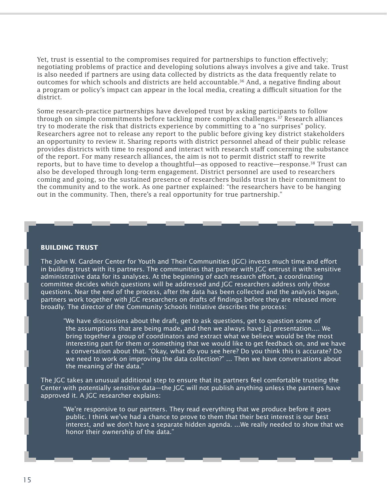Yet, trust is essential to the compromises required for partnerships to function effectively; negotiating problems of practice and developing solutions always involves a give and take. Trust is also needed if partners are using data collected by districts as the data frequently relate to outcomes for which schools and districts are held accountable.<sup>36</sup> And, a negative finding about a program or policy's impact can appear in the local media, creating a difficult situation for the district.

Some research-practice partnerships have developed trust by asking participants to follow through on simple commitments before tackling more complex challenges.37 Research alliances try to moderate the risk that districts experience by committing to a "no surprises" policy. Researchers agree not to release any report to the public before giving key district stakeholders an opportunity to review it. Sharing reports with district personnel ahead of their public release provides districts with time to respond and interact with research staff concerning the substance of the report. For many research alliances, the aim is not to permit district staff to rewrite reports, but to have time to develop a thoughtful—as opposed to reactive—response.<sup>38</sup> Trust can also be developed through long-term engagement. District personnel are used to researchers coming and going, so the sustained presence of researchers builds trust in their commitment to the community and to the work. As one partner explained: "the researchers have to be hanging out in the community. Then, there's a real opportunity for true partnership."

#### **BUILDING TRUST**

The John W. Gardner Center for Youth and Their Communities (IGC) invests much time and effort in building trust with its partners. The communities that partner with JGC entrust it with sensitive administrative data for its analyses. At the beginning of each research effort, a coordinating committee decides which questions will be addressed and JGC researchers address only those questions. Near the end of the process, after the data has been collected and the analysis begun, partners work together with JGC researchers on drafts of findings before they are released more broadly. The director of the Community Schools Initiative describes the process:

"We have discussions about the draft, get to ask questions, get to question some of the assumptions that are being made, and then we always have [a] presentation.… We bring together a group of coordinators and extract what we believe would be the most interesting part for them or something that we would like to get feedback on, and we have a conversation about that. "Okay, what do you see here? Do you think this is accurate? Do we need to work on improving the data collection?" ... Then we have conversations about the meaning of the data."

The JGC takes an unusual additional step to ensure that its partners feel comfortable trusting the Center with potentially sensitive data—the JGC will not publish anything unless the partners have approved it. A JGC researcher explains:

"We're responsive to our partners. They read everything that we produce before it goes public. I think we've had a chance to prove to them that their best interest is our best interest, and we don't have a separate hidden agenda. ...We really needed to show that we honor their ownership of the data."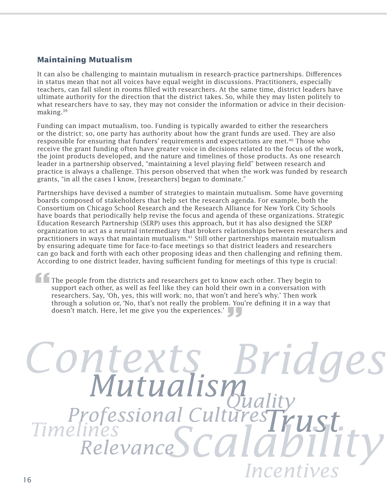### **Maintaining Mutualism**

It can also be challenging to maintain mutualism in research-practice partnerships. Differences in status mean that not all voices have equal weight in discussions. Practitioners, especially teachers, can fall silent in rooms filled with researchers. At the same time, district leaders have ultimate authority for the direction that the district takes. So, while they may listen politely to what researchers have to say, they may not consider the information or advice in their decisionmaking.<sup>39</sup>

Funding can impact mutualism, too. Funding is typically awarded to either the researchers or the district; so, one party has authority about how the grant funds are used. They are also responsible for ensuring that funders' requirements and expectations are met.40 Those who receive the grant funding often have greater voice in decisions related to the focus of the work, the joint products developed, and the nature and timelines of those products. As one research leader in a partnership observed, "maintaining a level playing field" between research and practice is always a challenge. This person observed that when the work was funded by research grants, "in all the cases I know, [researchers] began to dominate."

Partnerships have devised a number of strategies to maintain mutualism. Some have governing boards composed of stakeholders that help set the research agenda. For example, both the Consortium on Chicago School Research and the Research Alliance for New York City Schools have boards that periodically help revise the focus and agenda of these organizations. Strategic Education Research Partnership (SERP) uses this approach, but it has also designed the SERP organization to act as a neutral intermediary that brokers relationships between researchers and practitioners in ways that maintain mutualism.41 Still other partnerships maintain mutualism by ensuring adequate time for face-to-face meetings so that district leaders and researchers can go back and forth with each other proposing ideas and then challenging and refining them. According to one district leader, having sufficient funding for meetings of this type is crucial:

The people from the districts and researchers get to know each other. They begin to support each other, as well as feel like they can hold their own in a conversation with researchers. Say, 'Oh, yes, this will work; no, that won't and here's why.' Then work through a solution or, 'No, that's not really the problem. You're defining it in a way that doesn't match. Here, let me give you the experiences.' **f The sup** res support each other, as well as feel like they can hold then of<br>researchers. Say, 'Oh, yes, this will work; no, that won't and<br>through a solution or, 'No, that's not really the problem. You<br>doesn't match. Here, let me give

# *Bridges Mutualism Contexts Trust Scalability Timelines Incentives Relevance Quality Professional Cultures*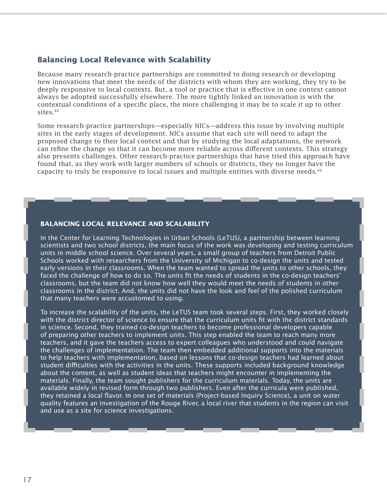### **Balancing Local Relevance with Scalability**

Because many research-practice partnerships are committed to doing research or developing new innovations that meet the needs of the districts with whom they are working, they try to be deeply responsive to local contexts. But, a tool or practice that is effective in one context cannot always be adopted successfully elsewhere. The more tightly linked an innovation is with the contextual conditions of a specific place, the more challenging it may be to scale it up to other sites.<sup>42</sup>

Some research-practice partnerships—especially NICs—address this issue by involving multiple sites in the early stages of development. NICs assume that each site will need to adapt the proposed change to their local context and that by studying the local adaptations, the network can refine the change so that it can become more reliable across different contexts. This strategy also presents challenges. Other research-practice partnerships that have tried this approach have found that, as they work with larger numbers of schools or districts, they no longer have the capacity to truly be responsive to local issues and multiple entities with diverse needs. $43$ 

#### **BALANCING LOCAL RELEVANCE AND SCALABILITY**

In the Center for Learning Technologies in Urban Schools (LeTUS), a partnership between learning scientists and two school districts, the main focus of the work was developing and testing curriculum units in middle school science. Over several years, a small group of teachers from Detroit Public Schools worked with researchers from the University of Michigan to co-design the units and tested early versions in their classrooms. When the team wanted to spread the units to other schools, they faced the challenge of how to do so. The units fit the needs of students in the co-design teachers' classrooms, but the team did not know how well they would meet the needs of students in other classrooms in the district. And, the units did not have the look and feel of the polished curriculum that many teachers were accustomed to using.

To increase the scalability of the units, the LeTUS team took several steps. First, they worked closely with the district director of science to ensure that the curriculum units fit with the district standards in science. Second, they trained co-design teachers to become professional developers capable of preparing other teachers to implement units. This step enabled the team to reach many more teachers, and it gave the teachers access to expert colleagues who understood and could navigate the challenges of implementation. The team then embedded additional supports into the materials to help teachers with implementation, based on lessons that co-design teachers had learned about student difficulties with the activities in the units. These supports included background knowledge about the content, as well as student ideas that teachers might encounter in implementing the materials. Finally, the team sought publishers for the curriculum materials. Today, the units are available widely in revised form through two publishers. Even after the curricula were published, they retained a local flavor. In one set of materials (Project-based Inquiry Science), a unit on water quality features an investigation of the Rouge River, a local river that students in the region can visit and use as a site for science investigations.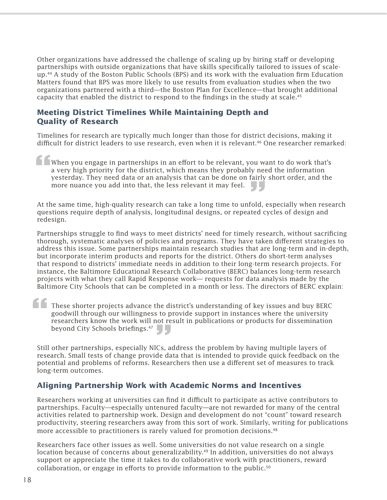Other organizations have addressed the challenge of scaling up by hiring staff or developing partnerships with outside organizations that have skills specifically tailored to issues of scaleup.<sup>44</sup> A study of the Boston Public Schools (BPS) and its work with the evaluation firm Education Matters found that BPS was more likely to use results from evaluation studies when the two organizations partnered with a third—the Boston Plan for Excellence—that brought additional capacity that enabled the district to respond to the findings in the study at scale.<sup>45</sup>

### **Meeting District Timelines While Maintaining Depth and Quality of Research**

Timelines for research are typically much longer than those for district decisions, making it difficult for district leaders to use research, even when it is relevant.<sup>46</sup> One researcher remarked:

When you engage in partnerships in an e#ort to be relevant, you want to do work that's a very high priority for the district, which means they probably need the information yesterday. They need data or an analysis that can be done on fairly short order, and the more nuance you add into that, the less relevant it may feel. **1**<br> **Wh**<br> **a Wh**<br> **yes** 

more nuance you add into that, the less relevant it may feel.<br>At the same time, high-quality research can take a long time to unfold, especially when research questions require depth of analysis, longitudinal designs, or repeated cycles of design and redesign.

Partnerships struggle to find ways to meet districts' need for timely research, without sacrificing thorough, systematic analyses of policies and programs. They have taken different strategies to address this issue. Some partnerships maintain research studies that are long-term and in-depth, but incorporate interim products and reports for the district. Others do short-term analyses that respond to districts' immediate needs in addition to their long-term research projects. For instance, the Baltimore Educational Research Collaborative (BERC) balances long-term research projects with what they call Rapid Response work— requests for data analysis made by the Baltimore City Schools that can be completed in a month or less. The directors of BERC explain:

These shorter projects advance the district's understanding of key issues and buy BERC goodwill through our willingness to provide support in instances where the university researchers know the work will not result in publications or products for dissemination beyond City Schools briefings.<sup>47</sup> beyond City Schools briefings.<sup>47</sup><br>Still other partnerships, especially NICs, address the problem by having multiple layers of **16** Th<br>go<br>re

research. Small tests of change provide data that is intended to provide quick feedback on the potential and problems of reforms. Researchers then use a different set of measures to track long-term outcomes.

### **Aligning Partnership Work with Academic Norms and Incentives**

Researchers working at universities can find it difficult to participate as active contributors to partnerships. Faculty—especially untenured faculty—are not rewarded for many of the central activities related to partnership work. Design and development do not "count" toward research productivity, steering researchers away from this sort of work. Similarly, writing for publications more accessible to practitioners is rarely valued for promotion decisions.<sup>48</sup>

Researchers face other issues as well. Some universities do not value research on a single location because of concerns about generalizability.<sup>49</sup> In addition, universities do not always support or appreciate the time it takes to do collaborative work with practitioners, reward collaboration, or engage in efforts to provide information to the public. $50$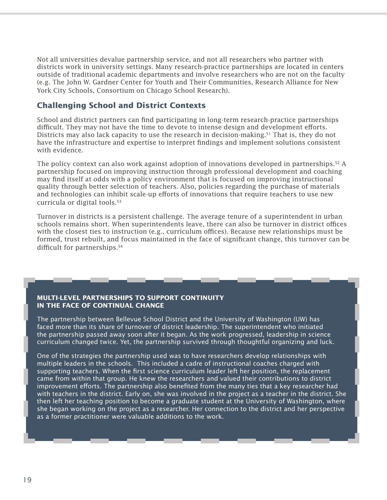Not all universities devalue partnership service, and not all researchers who partner with districts work in university settings. Many research-practice partnerships are located in centers outside of traditional academic departments and involve researchers who are not on the faculty (e.g. The John W. Gardner Center for Youth and Their Communities, Research Alliance for New York City Schools, Consortium on Chicago School Research).

### **Challenging School and District Contexts**

School and district partners can find participating in long-term research-practice partnerships difficult. They may not have the time to devote to intense design and development efforts. Districts may also lack capacity to use the research in decision-making.<sup>51</sup> That is, they do not have the infrastructure and expertise to interpret findings and implement solutions consistent with evidence.

The policy context can also work against adoption of innovations developed in partnerships.<sup>52</sup> A partnership focused on improving instruction through professional development and coaching may find itself at odds with a policy environment that is focused on improving instructional quality through better selection of teachers. Also, policies regarding the purchase of materials and technologies can inhibit scale-up efforts of innovations that require teachers to use new curricula or digital tools.<sup>53</sup>

Turnover in districts is a persistent challenge. The average tenure of a superintendent in urban schools remains short. When superintendents leave, there can also be turnover in district offices with the closest ties to instruction (e.g., curriculum offices). Because new relationships must be formed, trust rebuilt, and focus maintained in the face of significant change, this turnover can be difficult for partnerships. $54$ 

### **MULTI-LEVEL PARTNERSHIPS TO SUPPORT CONTINUITY IN THE FACE OF CONTINUAL CHANGE**

The partnership between Bellevue School District and the University of Washington (UW) has faced more than its share of turnover of district leadership. The superintendent who initiated the partnership passed away soon after it began. As the work progressed, leadership in science curriculum changed twice. Yet, the partnership survived through thoughtful organizing and luck.

One of the strategies the partnership used was to have researchers develop relationships with multiple leaders in the schools. This included a cadre of instructional coaches charged with supporting teachers. When the first science curriculum leader left her position, the replacement came from within that group. He knew the researchers and valued their contributions to district improvement efforts. The partnership also benefited from the many ties that a key researcher had with teachers in the district. Early on, she was involved in the project as a teacher in the district. She then left her teaching position to become a graduate student at the University of Washington, where she began working on the project as a researcher. Her connection to the district and her perspective as a former practitioner were valuable additions to the work.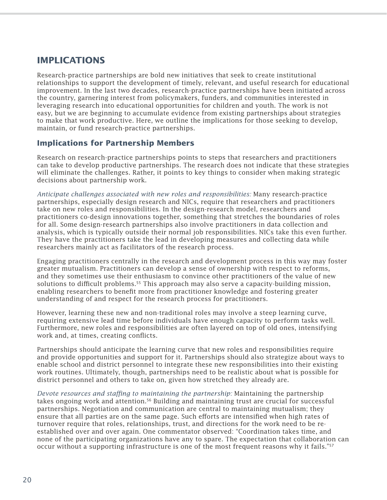### **IMPLICATIONS**

Research-practice partnerships are bold new initiatives that seek to create institutional relationships to support the development of timely, relevant, and useful research for educational improvement. In the last two decades, research-practice partnerships have been initiated across the country, garnering interest from policymakers, funders, and communities interested in leveraging research into educational opportunities for children and youth. The work is not easy, but we are beginning to accumulate evidence from existing partnerships about strategies to make that work productive. Here, we outline the implications for those seeking to develop, maintain, or fund research-practice partnerships.

### **Implications for Partnership Members**

Research on research-practice partnerships points to steps that researchers and practitioners can take to develop productive partnerships. The research does not indicate that these strategies will eliminate the challenges. Rather, it points to key things to consider when making strategic decisions about partnership work.

*Anticipate challenges associated with new roles and responsibilities:* Many research-practice partnerships, especially design research and NICs, require that researchers and practitioners take on new roles and responsibilities. In the design-research model, researchers and practitioners co-design innovations together, something that stretches the boundaries of roles for all. Some design-research partnerships also involve practitioners in data collection and analysis, which is typically outside their normal job responsibilities. NICs take this even further. They have the practitioners take the lead in developing measures and collecting data while researchers mainly act as facilitators of the research process.

Engaging practitioners centrally in the research and development process in this way may foster greater mutualism. Practitioners can develop a sense of ownership with respect to reforms, and they sometimes use their enthusiasm to convince other practitioners of the value of new solutions to difficult problems.<sup>55</sup> This approach may also serve a capacity-building mission, enabling researchers to benefit more from practitioner knowledge and fostering greater understanding of and respect for the research process for practitioners.

However, learning these new and non-traditional roles may involve a steep learning curve, requiring extensive lead time before individuals have enough capacity to perform tasks well. Furthermore, new roles and responsibilities are often layered on top of old ones, intensifying work and, at times, creating conflicts.

Partnerships should anticipate the learning curve that new roles and responsibilities require and provide opportunities and support for it. Partnerships should also strategize about ways to enable school and district personnel to integrate these new responsibilities into their existing work routines. Ultimately, though, partnerships need to be realistic about what is possible for district personnel and others to take on, given how stretched they already are.

*Devote resources and sta#ng to maintaining the partnership:* Maintaining the partnership takes ongoing work and attention.<sup>56</sup> Building and maintaining trust are crucial for successful partnerships. Negotiation and communication are central to maintaining mutualism; they ensure that all parties are on the same page. Such efforts are intensified when high rates of turnover require that roles, relationships, trust, and directions for the work need to be reestablished over and over again. One commentator observed: "Coordination takes time, and none of the participating organizations have any to spare. The expectation that collaboration can occur without a supporting infrastructure is one of the most frequent reasons why it fails."57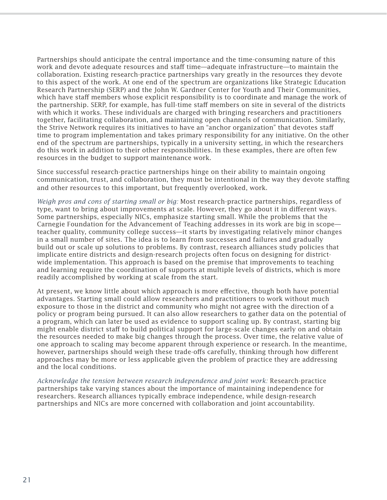Partnerships should anticipate the central importance and the time-consuming nature of this work and devote adequate resources and staff time—adequate infrastructure—to maintain the collaboration. Existing research-practice partnerships vary greatly in the resources they devote to this aspect of the work. At one end of the spectrum are organizations like Strategic Education Research Partnership (SERP) and the John W. Gardner Center for Youth and Their Communities, which have staff members whose explicit responsibility is to coordinate and manage the work of the partnership. SERP, for example, has full-time staff members on site in several of the districts with which it works. These individuals are charged with bringing researchers and practitioners together, facilitating collaboration, and maintaining open channels of communication. Similarly, the Strive Network requires its initiatives to have an "anchor organization" that devotes staff time to program implementation and takes primary responsibility for any initiative. On the other end of the spectrum are partnerships, typically in a university setting, in which the researchers do this work in addition to their other responsibilities. In these examples, there are often few resources in the budget to support maintenance work.

Since successful research-practice partnerships hinge on their ability to maintain ongoing communication, trust, and collaboration, they must be intentional in the way they devote staffing and other resources to this important, but frequently overlooked, work.

*Weigh pros and cons of starting small or big:* Most research-practice partnerships, regardless of type, want to bring about improvements at scale. However, they go about it in different ways. Some partnerships, especially NICs, emphasize starting small. While the problems that the Carnegie Foundation for the Advancement of Teaching addresses in its work are big in scope teacher quality, community college success—it starts by investigating relatively minor changes in a small number of sites. The idea is to learn from successes and failures and gradually build out or scale up solutions to problems. By contrast, research alliances study policies that implicate entire districts and design-research projects often focus on designing for districtwide implementation. This approach is based on the premise that improvements to teaching and learning require the coordination of supports at multiple levels of districts, which is more readily accomplished by working at scale from the start.

At present, we know little about which approach is more effective, though both have potential advantages. Starting small could allow researchers and practitioners to work without much exposure to those in the district and community who might not agree with the direction of a policy or program being pursued. It can also allow researchers to gather data on the potential of a program, which can later be used as evidence to support scaling up. By contrast, starting big might enable district staff to build political support for large-scale changes early on and obtain the resources needed to make big changes through the process. Over time, the relative value of one approach to scaling may become apparent through experience or research. In the meantime, however, partnerships should weigh these trade-offs carefully, thinking through how different approaches may be more or less applicable given the problem of practice they are addressing and the local conditions.

*Acknowledge the tension between research independence and joint work:* Research-practice partnerships take varying stances about the importance of maintaining independence for researchers. Research alliances typically embrace independence, while design-research partnerships and NICs are more concerned with collaboration and joint accountability.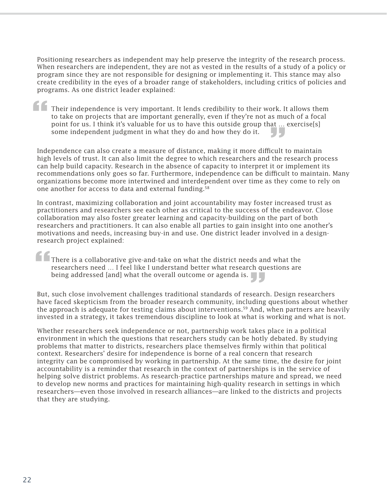Positioning researchers as independent may help preserve the integrity of the research process. When researchers are independent, they are not as vested in the results of a study of a policy or program since they are not responsible for designing or implementing it. This stance may also create credibility in the eyes of a broader range of stakeholders, including critics of policies and programs. As one district leader explained:

Their independence is very important. It lends credibility to their work. It allows them to take on projects that are important generally, even if they're not as much of a focal point for us. I think it's valuable for us to have this outside group that … exercise[s] some independent judgment in what they do and how they do it. Independence can also create a measure of distance, making it more difficult to maintain Independence can also create a measure of distance, making it more difficult to maintain **f Th**<br>to<br>po

high levels of trust. It can also limit the degree to which researchers and the research process can help build capacity. Research in the absence of capacity to interpret it or implement its recommendations only goes so far. Furthermore, independence can be difficult to maintain. Many organizations become more intertwined and interdependent over time as they come to rely on one another for access to data and external funding.<sup>58</sup>

In contrast, maximizing collaboration and joint accountability may foster increased trust as practitioners and researchers see each other as critical to the success of the endeavor. Close collaboration may also foster greater learning and capacity-building on the part of both researchers and practitioners. It can also enable all parties to gain insight into one another's motivations and needs, increasing buy-in and use. One district leader involved in a designresearch project explained:

There is a collaborative give-and-take on what the district needs and what the researchers need … I feel like I understand better what research questions are **f**<br>The<br>res<br>bei

being addressed [and] what the overall outcome or agenda is.<br>But, such close involvement challenges traditional standards of research is a state of the state of the state of the state of the state of the state of the state But, such close involvement challenges traditional standards of research. Design researchers have faced skepticism from the broader research community, including questions about whether the approach is adequate for testing claims about interventions.59 And, when partners are heavily invested in a strategy, it takes tremendous discipline to look at what is working and what is not.

Whether researchers seek independence or not, partnership work takes place in a political environment in which the questions that researchers study can be hotly debated. By studying problems that matter to districts, researchers place themselves firmly within that political context. Researchers' desire for independence is borne of a real concern that research integrity can be compromised by working in partnership. At the same time, the desire for joint accountability is a reminder that research in the context of partnerships is in the service of helping solve district problems. As research-practice partnerships mature and spread, we need to develop new norms and practices for maintaining high-quality research in settings in which researchers—even those involved in research alliances—are linked to the districts and projects that they are studying.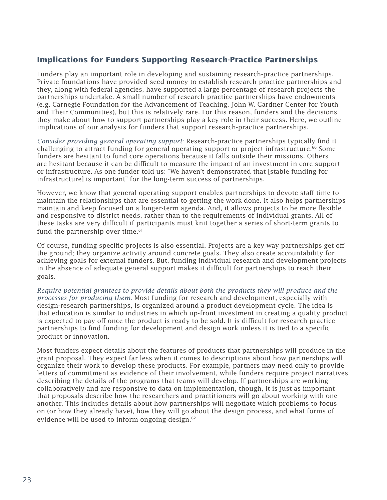### **Implications for Funders Supporting Research-Practice Partnerships**

Funders play an important role in developing and sustaining research-practice partnerships. Private foundations have provided seed money to establish research-practice partnerships and they, along with federal agencies, have supported a large percentage of research projects the partnerships undertake. A small number of research-practice partnerships have endowments (e.g. Carnegie Foundation for the Advancement of Teaching, John W. Gardner Center for Youth and Their Communities), but this is relatively rare. For this reason, funders and the decisions they make about how to support partnerships play a key role in their success. Here, we outline implications of our analysis for funders that support research-practice partnerships.

*Consider providing general operating support:* Research-practice partnerships typically find it challenging to attract funding for general operating support or project infrastructure.<sup>60</sup> Some funders are hesitant to fund core operations because it falls outside their missions. Others are hesitant because it can be difficult to measure the impact of an investment in core support or infrastructure. As one funder told us: "We haven't demonstrated that [stable funding for infrastructure] is important" for the long-term success of partnerships.

However, we know that general operating support enables partnerships to devote staff time to maintain the relationships that are essential to getting the work done. It also helps partnerships maintain and keep focused on a longer-term agenda. And, it allows projects to be more flexible and responsive to district needs, rather than to the requirements of individual grants. All of these tasks are very difficult if participants must knit together a series of short-term grants to fund the partnership over time. $61$ 

Of course, funding specific projects is also essential. Projects are a key way partnerships get off the ground; they organize activity around concrete goals. They also create accountability for achieving goals for external funders. But, funding individual research and development projects in the absence of adequate general support makes it difficult for partnerships to reach their goals.

*Require potential grantees to provide details about both the products they will produce and the processes for producing them:* Most funding for research and development, especially with design-research partnerships, is organized around a product development cycle. The idea is that education is similar to industries in which up-front investment in creating a quality product is expected to pay off once the product is ready to be sold. It is difficult for research-practice partnerships to find funding for development and design work unless it is tied to a specific product or innovation.

Most funders expect details about the features of products that partnerships will produce in the grant proposal. They expect far less when it comes to descriptions about how partnerships will organize their work to develop these products. For example, partners may need only to provide letters of commitment as evidence of their involvement, while funders require project narratives describing the details of the programs that teams will develop. If partnerships are working collaboratively and are responsive to data on implementation, though, it is just as important that proposals describe how the researchers and practitioners will go about working with one another. This includes details about how partnerships will negotiate which problems to focus on (or how they already have), how they will go about the design process, and what forms of evidence will be used to inform ongoing design.<sup>62</sup>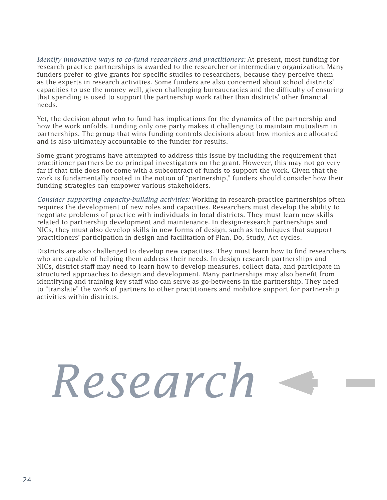*Identify innovative ways to co-fund researchers and practitioners:* At present, most funding for research-practice partnerships is awarded to the researcher or intermediary organization. Many funders prefer to give grants for specific studies to researchers, because they perceive them as the experts in research activities. Some funders are also concerned about school districts' capacities to use the money well, given challenging bureaucracies and the difficulty of ensuring that spending is used to support the partnership work rather than districts' other financial needs.

Yet, the decision about who to fund has implications for the dynamics of the partnership and how the work unfolds. Funding only one party makes it challenging to maintain mutualism in partnerships. The group that wins funding controls decisions about how monies are allocated and is also ultimately accountable to the funder for results.

Some grant programs have attempted to address this issue by including the requirement that practitioner partners be co-principal investigators on the grant. However, this may not go very far if that title does not come with a subcontract of funds to support the work. Given that the work is fundamentally rooted in the notion of "partnership," funders should consider how their funding strategies can empower various stakeholders.

*Consider supporting capacity-building activities:* Working in research-practice partnerships often requires the development of new roles and capacities. Researchers must develop the ability to negotiate problems of practice with individuals in local districts. They must learn new skills related to partnership development and maintenance. In design-research partnerships and NICs, they must also develop skills in new forms of design, such as techniques that support practitioners' participation in design and facilitation of Plan, Do, Study, Act cycles.

Districts are also challenged to develop new capacities. They must learn how to find researchers who are capable of helping them address their needs. In design-research partnerships and NICs, district staff may need to learn how to develop measures, collect data, and participate in structured approaches to design and development. Many partnerships may also benefit from identifying and training key staff who can serve as go-betweens in the partnership. They need to "translate" the work of partners to other practitioners and mobilize support for partnership activities within districts.

*Research*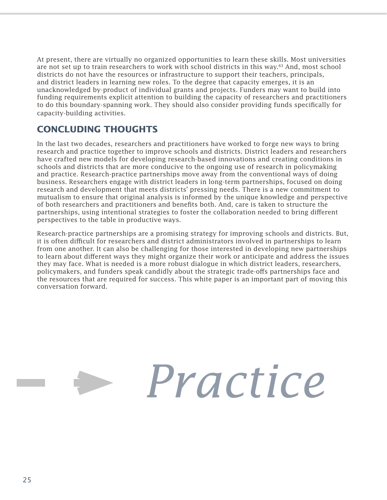At present, there are virtually no organized opportunities to learn these skills. Most universities are not set up to train researchers to work with school districts in this way.63 And, most school districts do not have the resources or infrastructure to support their teachers, principals, and district leaders in learning new roles. To the degree that capacity emerges, it is an unacknowledged by-product of individual grants and projects. Funders may want to build into funding requirements explicit attention to building the capacity of researchers and practitioners to do this boundary-spanning work. They should also consider providing funds specifically for capacity-building activities.

### **CONCLUDING THOUGHTS**

In the last two decades, researchers and practitioners have worked to forge new ways to bring research and practice together to improve schools and districts. District leaders and researchers have crafted new models for developing research-based innovations and creating conditions in schools and districts that are more conducive to the ongoing use of research in policymaking and practice. Research-practice partnerships move away from the conventional ways of doing business. Researchers engage with district leaders in long-term partnerships, focused on doing research and development that meets districts' pressing needs. There is a new commitment to mutualism to ensure that original analysis is informed by the unique knowledge and perspective of both researchers and practitioners and benefits both. And, care is taken to structure the partnerships, using intentional strategies to foster the collaboration needed to bring different perspectives to the table in productive ways.

Research-practice partnerships are a promising strategy for improving schools and districts. But, it is often difficult for researchers and district administrators involved in partnerships to learn from one another. It can also be challenging for those interested in developing new partnerships to learn about different ways they might organize their work or anticipate and address the issues they may face. What is needed is a more robust dialogue in which district leaders, researchers, policymakers, and funders speak candidly about the strategic trade-offs partnerships face and the resources that are required for success. This white paper is an important part of moving this conversation forward.

# *Practice*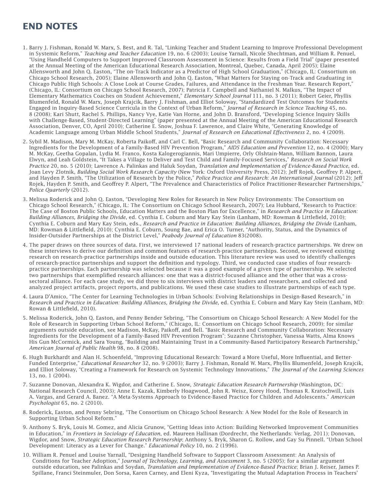### **END NOTES**

- 1. Barry J. Fishman, Ronald W. Marx, S. Best, and R. Tal, "Linking Teacher and Student Learning to Improve Professional Development in Systemic Reform," *Teaching and Teacher Education* 19, no. 6 (2003); Louise Yarnall, Nicole Shechtman, and William R. Penuel, "Using Handheld Computers to Support Improved Classroom Assessment in Science: Results from a Field Trial" (paper presented at the Annual Meeting of the American Educational Research Association, Montreal, Quebec, Canada, April 2005); Elaine Allensworth and John Q. Easton, "The on-Track Indicator as a Predictor of High School Graduation," (Chicago, IL: Consortium on Chicago School Research, 2005); Elaine Allensworth and John Q. Easton, "What Matters for Staying on-Track and Graduating in Chicago Public High Schools: A Close Look at Course Grades, Failures, and Attendance in the Freshman Year. Research Report," (Chicago, IL: Consortium on Chicago School Research, 2007); Patricia F. Campbell and Nathaniel N. Malkus, "The Impact of Elementary Mathematics Coaches on Student Achievement," *Elementary School Journal* 111, no. 3 (2011); Robert Geier, Phyllis Blumenfeld, Ronald W. Marx, Joseph Krajcik, Barry J. Fishman, and Elliot Soloway, "Standardized Test Outcomes for Students Engaged in Inquiry-Based Science Curricula in the Context of Urban Reform," *Journal of Research in Science Teaching* 45, no. 8 (2008); Kari Shutt, Rachel S. Phillips, Nancy Vye, Katie Van Horne, and John D. Bransford, "Developing Science Inquiry Skills with Challenge-Based, Student-Directed Learning" (paper presented at the Annual Meeting of the American Educational Research Association, Denver, CO, April 2010); Catherine E. Snow, Joshua F. Lawrence, and Claire White, "Generating Knowledge of Academic Language among Urban Middle School Students," *Journal of Research on Educational E"ectiveness* 2, no. 4 (2009).
- 2. Sybil M. Madison, Mary M. McKay, Roberta Paikoff, and Carl C. Bell, "Basic Research and Community Collaboration: Necessary Ingredients for the Development of a Family-Based HIV Prevention Program," *AIDS Education and Prevention* 12, no. 4 (2000); Mary M. McKay, Geetha Gopalan, Lydia M. Franco, Kosta Kalogerogiannis, Mari Umpierre, Orly Olshtain-Mann, William Bannon, Laura Elwyn, and Leah Goldstein, "It Takes a Village to Deliver and Test Child and Family-Focused Services," *Research on Social Work Practice* 20, no. 5 (2010); Lawrence A. Palinkas and Haluk Soydan, *Translation and Implementation of Evidence-Based Practice*, ed. Joan Levy Zlotnik, *Building Social Work Research Capacity* (New York: Oxford University Press, 2012); Jeff Rojek, Geoffrey P. Alpert, and Hayden P. Smith, "The Utilization of Research by the Police," *Police Practice and Research: An International Journal* (2012); Jeff Rojek, Hayden P. Smith, and Geoffrey P. Alpert, "The Prevalence and Characteristics of Police Practitioner-Researcher Partnerships," *Police Quarterly* (2012).
- 3. Melissa Roderick and John Q. Easton, "Developing New Roles for Research in New Policy Environments: The Consortium on Chicago School Research," (Chicago, IL: The Consortium on Chicago School Research, 2007); Lea Hubbard, "Research to Practice: The Case of Boston Public Schools, Education Matters and the Boston Plan for Excellence," in *Research and Practice in Education:*  Building Alliances, Bridging the Divide, ed. Cynthia E. Coburn and Mary Kay Stein (Lanham, MD: Rowman & Littlefield, 2010); Cynthia E. Coburn and Mary Kay Stein, eds., *Research and Practice in Education: Building Alliances, Bridging the Divide* (Lanham, MD: Rowman & Littlefield, 2010); Cynthia E. Coburn, Soung Bae, and Erica O. Turner, "Authority, Status, and the Dynamics of Insider-Outsider Partnerships at the District Level," *Peabody Journal of Education* 83(2008).
- 4. The paper draws on three sources of data. First, we interviewed 17 national leaders of research-practice partnerships. We drew on these interviews to derive our definition and common features of research-practice partnerships. Second, we reviewed existing research on research-practice partnerships inside and outside education. This literature review was used to identify challenges of research-practice partnerships and support the definition and typology. Third, we conducted case studies of four researchpractice partnerships. Each partnership was selected because it was a good example of a given type of partnership. We selected two partnerships that exemplified research alliances: one that was a district-focused alliance and the other that was a crosssectoral alliance. For each case study, we did three to six interviews with district leaders and researchers, and collected and analyzed project artifacts, project reports, and publications. We used these case studies to illustrate partnerships of each type.
- 4. Laura D'Amico, "The Center for Learning Technologies in Urban Schools: Evolving Relationships in Design-Based Research," in *Research and Practice in Education: Building Alliances, Bridging the Divide*, ed. Cynthia E. Coburn and Mary Kay Stein (Lanham, MD: Rowan & Littlefield, 2010).
- 5. Melissa Roderick, John Q. Easton, and Penny Bender Sebring, "The Consortium on Chicago School Research: A New Model for the Role of Research in Supporting Urban School Reform," (Chicago, IL: Consortium on Chicago School Research, 2009); for similar arguments outside education, see Madison, McKay, Paikoff, and Bell. "Basic Research and Community Collaboration: Necessary Ingredients for the Development of a Family-Based HIV Prevention Program"; Suzanne Christopher, Vanessa Watts, Alma Knows His Gun McCormick, and Sara Young, "Building and Maintaining Trust in a Community-Based Participatory Research Partnership," *American Journal of Public Health* 98, no. 8 (2008).
- 6. Hugh Burkhardt and Alan H. Schoenfeld, "Improving Educational Research: Toward a More Useful, More Influential, and Better-Funded Enterprise," *Educational Researcher* 32, no. 9 (2003); Barry J. Fishman, Ronald W. Marx, Phyllis Blumenfeld, Joseph Krajcik, and Elliot Soloway, "Creating a Framework for Research on Systemic Technology Innovations," *The Journal of the Learning Sciences* 13, no. 1 (2004).
- 7. Suzanne Donovan, Alexandra K. Wigdor, and Catherine E. Snow, *Strategic Education Research Partnership* (Washington, DC: National Research Council, 2003); Anne E. Kazak, Kimberly Hoagwood, John R. Weisz, Korey Hood, Thomas R. Kratochwill, Luis A. Vargas, and Gerard A. Banez. "A Meta-Systems Approach to Evidence-Based Practice for Children and Adolescents." *American Psychologist* 65, no. 2 (2010).
- 8. Roderick, Easton, and Penny Sebring, "The Consortium on Chicago School Research: A New Model for the Role of Research in Supporting Urban School Reform."
- 9. Anthony S. Bryk, Louis M. Gomez, and Alicia Grunow, "Getting Ideas into Action: Building Networked Improvement Communities in Education," in *Frontiers in Sociology of Education*, ed. Maureen Hallinan (Dordrecht, the Netherlands: Verlag, 2011); Donovan, Wigdor, and Snow, *Strategic Education Research Partnership*; Anthony S. Bryk, Sharon G. Rollow, and Gay Su Pinnell. "Urban School Development: Literacy as a Lever for Change." *Educational Policy* 10, no. 2 (1996).
- 10. William R. Penuel and Louise Yarnall, "Designing Handheld Software to Support Classroom Assessment: An Analysis of Conditions for Teacher Adoption," J*ournal of Technology, Learning, and Assessment* 3, no. 5 (2005); for a similar argument outside education, see Palinkas and Soydan, *Translation and Implementation of Evidence-Based Practice*; Brian J. Reiser, James P. Spillane, Franci Steinmuler, Don Sorsa, Karen Carney, and Eleni Kyza, "Investigating the Mutual Adaptation Process in Teachers'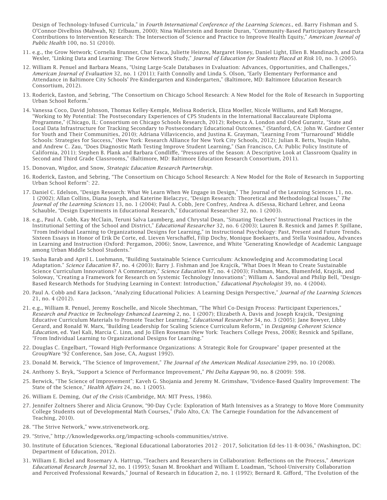Design of Technology-Infused Curricula," in *Fourth International Conference of the Learning Sciences*., ed. Barry Fishman and S. O'Connor-Divelbiss (Mahwah, NJ: Erlbaum, 2000); Nina Wallerstein and Bonnie Duran, "Community-Based Participatory Research Contributions to Intervention Research: The Intersection of Science and Practice to Improve Health Equity," *American Journal of Public Health* 100, no. S1 (2010).

- 11. e.g., the Grow Network; Cornelia Brunner, Chat Fasca, Juliette Heinze, Margaret Honey, Daniel Light, Ellen B. Mandinach, and Data Wexler, "Linking Data and Learning: The Grow Network Study," *Journal of Education for Students Placed at Risk* 10, no. 3 (2005).
- 12. William R. Penuel and Barbara Means, "Using Large-Scale Databases in Evaluation: Advances, Opportunities, and Challenges," *American Journal of Evaluation* 32, no. 1 (2011); Faith Connolly and Linda S. Olson, "Early Elementary Performance and Attendance in Baltimore City Schools' Pre-Kindergarten and Kindergarten," (Baltimore, MD: Baltimore Education Research Consortium, 2012).
- 13. Roderick, Easton, and Sebring, "The Consortium on Chicago School Research: A New Model for the Role of Research in Supporting Urban School Reform."
- 14. Vanessa Coco, David Johnson, Thomas Kelley-Kemple, Melissa Roderick, Eliza Moeller, Nicole Williams, and Kafi Moragne, "Working to My Potential: The Postsecondary Experiences of CPS Students in the International Baccalaureate Diploma Programme," (Chicago, IL: Consortium on Chicago Schools Research, 2012); Rebecca A. London and Oded Gurantz, "State and Local Data Infrastructure for Tracking Secondary to Postsecondary Educational Outcomes," (Stanford, CA: John W. Gardner Center for Youth and Their Communities, 2010); Adriana Villavicencio, and Justina K. Grayman, "Learning From "Turnaround" Middle Schools: Strategies for Success," (New York: Research Alliance for New York City Schools, 2012); Julian R. Betts, Youjin Hahn, and Andrew C. Zau, "Does Diagnostic Math Testing Improve Student Learning," (San Francisco, CA: Public Policy Institute of California, 2011); Stephen B. Plank and Barbara Condliffe, "Pressures of the Season: A Descriptive Look at Classroom Quality in Second and Third Grade Classrooms," (Baltimore, MD: Baltimore Education Research Consortium, 2011).
- 15. Donovan, Wigdor, and Snow, *Strategic Education Research Partnership*.
- 16. Roderick, Easton, and Sebring, "The Consortium on Chicago School Research: A New Model for the Role of Research in Supporting Urban School Reform": 22.
- 17. Daniel C. Edelson, "Design Research: What We Learn When We Engage in Design," The Journal of the Learning Sciences 11, no. 1 (2002); Allan Collins, Diana Joseph, and Katerine Bielaczyc, "Design Research: Theoretical and Methodological Issues," *The Journal of the Learning Sciences* 13, no. 1 (2004); Paul A. Cobb, Jere Confrey, Andrea A. diSessa, Richard Lehrer, and Leona Schauble, "Design Experiments in Educational Research," Educational Researcher 32, no. 1 (2003).
- 18. e.g., Paul A. Cobb, Kay McClain, Teruni Salva Laumberg, and Chrystal Dean, "Situating Teachers' Instructional Practices in the Institutional Setting of the School and District," *Educational Researcher* 32, no. 6 (2003); Lauren B. Resnick and James P. Spillane, "From Individual Learning to Organizational Designs for Learning," in Instructional Psychology: Past, Present and Future Trends. Sixteen Essays in Honor of Erik De Corte, ed. Lieven Verschaffel, Filip Dochy, Monique Boekaerts, and Stella Vosinadou, Advances in Learning and Instruction (Oxford: Pergamon, 2006); Snow, Lawrence, and White "Generating Knowledge of Academic Language among Urban Middle School Students."
- 19. Sasha Barab and April L. Luehmann, "Building Sustainable Science Curriculum: Acknowledging and Accommodating Local Adaptation." *Science Education* 87, no. 4 (2003); Barry J. Fishman and Joe Krajcik, "What Does It Mean to Create Sustainable Science Curriculum Innovations? A Commentary," *Science Education* 87, no. 4 (2003); Fishman, Marx, Blumenfeld, Krajcik, and Soloway, "Creating a Framework for Research on Systemic Technology Innovations"; William A. Sandoval and Philip Bell, "Design-Based Research Methods for Studying Learning in Context: Introduction," *Educational Psychologist* 39, no. 4 (2004).
- 20. Paul A. Cobb and Kara Jackson, "Analyzing Educational Policies: A Learning Design Perspective," *Journal of the Learning Science*s 21, no. 4 (2012).
- 21. e.g., William R. Penuel, Jeremy Roschelle, and Nicole Shechtman, "The Whirl Co-Design Process: Participant Experiences," *Research and Practice in Technology Enhanced Learning* 2, no. 1 (2007); Elizabeth A. Davis and Joseph Krajcik, "Designing Educative Curriculum Materials to Promote Teacher Learning," *Educational Researcher* 34, no. 3 (2005); Jane Bowyer, Libby Gerard, and Ronald W. Marx, "Building Leadership for Scaling Science Curriculum Reform," in *Designing Coherent Science Education*, ed. Yael Kali, Marcia C. Linn, and Jo Ellen Roseman (New York: Teachers College Press, 2008); Resnick and Spillane, "From Individual Learning to Organizational Designs for Learning."
- 22. Douglas C. Engelbart, "Toward High-Performance Organizations: A Strategic Role for Groupware" (paper presented at the GroupWare '92 Conference, San Jose, CA, August 1992).
- 23. Donald M. Berwick, "The Science of Improvement," *The Journal of the American Medical Association* 299, no. 10 (2008).
- 24. Anthony S. Bryk, "Support a Science of Performance Improvement," *Phi Delta Kappan* 90, no. 8 (2009): 598.
- 25. Berwick, "The Science of Improvement"; Kaveh G. Shojania and Jeremy M. Grimshaw, "Evidence-Based Quality Improvement: The State of the Science," *Health Affairs* 24, no. 1 (2005).
- 26. William E. Deming, *Out of the Crisis* (Cambridge, MA: MIT Press, 1986).
- 27. Jennifer Zoltners Sherer and Alicia Grunow, "90-Day Cycle: Exploration of Math Intensives as a Strategy to Move More Community College Students out of Developmental Math Courses," (Palo Alto, CA: The Carnegie Foundation for the Advancement of Teaching, 2010).
- 28. "The Strive Network," www.strivenetwork.org.
- 29. "Strive," http://knowledgeworks.org/impacting-schools-communities/strive.
- 30. Institute of Education Sciences, "Regional Educational Laboratories 2012 2017, Solicitation Ed-Ies-11-R-0036," (Washington, DC: Department of Education, 2012).
- 31. William E. Bickel and Rosemary A. Hattrup, "Teachers and Researchers in Collaboration: Reflections on the Process," American *Educational Research Journal* 32, no. 1 (1995); Susan M. Brookhart and William E. Loadman, "School-University Collaboration and Perceived Professional Rewards," Journal of Research in Education 2, no. 1 (1992); Bernard R. Gifford, "The Evolution of the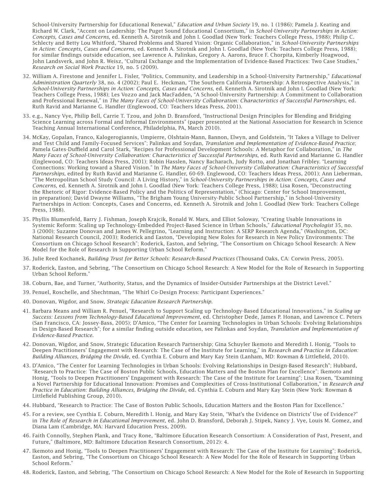School-University Partnership for Educational Renewal," *Education and Urban Society* 19, no. 1 (1986); Pamela J. Keating and Richard W. Clark, "Accent on Leadership: The Puget Sound Educational Consortium," in *School-University Partnerships in Action: Concepts, Cases and Concerns*, ed. Kenneth A. Sirotnik and John I. Goodlad (New York: Teachers College Press, 1988); Philip C. Schlecty and Betty Lou Whitford, "Shared Problems and Shared Vision: Organic Collaboration," in *School-University Partnerships in Action: Concepts, Cases and Concerns*, ed. Kenneth A. Sirotnik and John I. Goodlad (New York: Teachers College Press, 1988); for similar !ndings outside education, see Lawrence A. Palinkas, Gregory A. Aarons, Bruce F. Chorpita, Kimberly Hoagwood, John Landsverk, and John R. Weisz, "Cultural Exchange and the Implementation of Evidence-Based Practices: Two Case Studies," *Research on Social Work Practice* 19, no. 5 (2009).

- 32. William A. Firestone and Jennifer L. Fisler, "Politics, Community, and Leadership in a School-University Partnership," *Educational Administration Quarterly* 38, no. 4 (2002); Paul E. Heckman, "The Southern California Partnership: A Retrospective Analysis," in *School-University Partnerships in Action: Concepts, Cases and Concerns*, ed. Kenneth A. Sirotnik and John I. Goodlad (New York: Teachers College Press, 1988); Les Vozzo and Jack MacFadden, "A School-University Partnership: A Commitment to Collaboration and Professional Renewal," in *The Many Faces of School-University Collaboration: Characteristics of Successful Partnerships*, ed. Ruth Ravid and Marianne G. Handler (Englewood, CO: Teachers Ideas Press, 2001).
- 33. e.g., Nancy Vye, Philip Bell, Carrie T. Tzou, and John D. Bransford, "Instructional Design Principles for Blending and Bridging Science Learning across Formal and Informal Environments" (paper presented at the National Association for Research in Science Teaching Annual International Conference, Philadelphia, PA, March 2010).
- 34. McKay, Gopalan, Franco, Kalogerogiannis, Umpierre, Olshtain-Mann, Bannon, Elwyn, and Goldstein, "It Takes a Village to Deliver and Test Child and Family-Focused Services"; Palinkas and Soydan, *Translation and Implementation of Evidence-Based Practice*; Pamela Gates-Duffield and Carol Stark, "Recipes for Professional Development Schools: A Metaphor for Collaboration," in *The Many Faces of School-University Collaboration: Characteristics of Successful Partnerships*, ed. Ruth Ravid and Marianne G. Handler (Englewood, CO: Teachers Ideas Press, 2001); Robin Hasslen, Nancy Bacharach, Judy Rotto, and Jonathan Fribley. "Learning Connections: Working toward a Shared Vision." In *The Many Faces of School-University Collaboration: Characteristics of Successful Partnerships*, edited by Ruth Ravid and Marianne G. Handler, 60-69. Englewood, CO: Teachers Ideas Press, 2001); Ann Lieberman, "The Metropolitan School Study Council: A Living History," in *School-University Partnerships in Action: Concepts, Cases and Concerns*, ed. Kenneth A. Sirotnik and John I. Goodlad (New York: Teachers College Press, 1988); Lisa Rosen, "Deconstructing the Rhetoric of Rigor: Evidence-Based Policy and the Politics of Representation," (Chicago: Center for School Improvement, in preparation); David Dwayne Williams, "The Brigham Young University-Public School Partnership," in School-University Partnerships in Action: Concepts, Cases and Concerns, ed. Kenneth A. Sirotnik and John I. Goodlad (New York: Teachers College Press, 1988).
- 35. Phyllis Blumenfeld, Barry J. Fishman, Joseph Krajcik, Ronald W. Marx, and Elliot Soloway, "Creating Usable Innovations in Systemic Reform: Scaling up Technology-Embedded Project-Based Science in Urban Schools," *Educational Psychologist* 35, no. 3 (2000); Suzanne Donovan and James W. Pellegrino, "Learning and Instruction: A SERP Research Agenda," (Washington, DC: National Research Council, 2003); Roderick and Easton, "Developing New Roles for Research in New Policy Environments: The Consortium on Chicago School Research"; Roderick, Easton, and Sebring, "The Consortium on Chicago School Research: A New Model for the Role of Research in Supporting Urban School Reform."
- 36. Julie Reed Kochanek, *Building Trust for Better Schools: Research-Based Practices* (Thousand Oaks, CA: Corwin Press, 2005).
- 37. Roderick, Easton, and Sebring, "The Consortium on Chicago School Research: A New Model for the Role of Research in Supporting Urban School Reform."
- 38. Coburn, Bae, and Turner, "Authority, Status, and the Dynamics of Insider-Outsider Partnerships at the District Level."
- 39. Penuel, Roschelle, and Shechtman, "The Whirl Co-Design Process: Participant Experiences."
- 40. Donovan, Wigdor, and Snow, *Strategic Education Research Partnership*.
- 41. Barbara Means and William R. Penuel, "Research to Support Scaling up Technology-Based Educational Innovations," in *Scaling up Success: Lessons from Technology-Based Educational Improvement*, ed. Christopher Dede, James P. Honan, and Lawrence C. Peters (San Francisco, CA: Jossey-Bass, 2005); D'Amico, "The Center for Learning Technologies in Urban Schools: Evolving Relationships in Design-Based Research"; for a similar finding outside education, see Palinkas and Soydan, *Translation and Implementation of Evidence-Based Practice*.
- 42. Donovan, Wigdor, and Snow, Strategic Education Research Partnership; Gina Schuyler Ikemoto and Meredith I. Honig, "Tools to Deepen Practitioners' Engagement with Research: The Case of the Institute for Learning," in *Research and Practice in Education: Building Alliances, Bridging the Divide*, ed. Cynthia E. Coburn and Mary Kay Stein (Lanham, MD: Rowman & Littlefield, 2010).
- 43. D'Amico, "The Center for Learning Technologies in Urban Schools: Evolving Relationships in Design-Based Research"; Hubbard, "Research to Practice: The Case of Boston Public Schools, Education Matters and the Boston Plan for Excellence"; Ikemoto and Honig, "Tools to Deepen Practitioners' Engagement with Research: The Case of the Institute for Learning"; Lisa Rosen, "Examining a Novel Partnership for Educational Innovation: Promises and Complexities of Cross-Institutional Collaboration," in *Research and Practice in Education: Building Alliances, Bridging the Divide*, ed. Cynthia E. Coburn and Mary Kay Stein (New York: Rowman & Littlefield Publishing Group, 2010).
- 44. Hubbard, "Research to Practice: The Case of Boston Public Schools, Education Matters and the Boston Plan for Excellence."
- 45. For a review, see Cynthia E. Coburn, Meredith I. Honig, and Mary Kay Stein, "What's the Evidence on Districts' Use of Evidence?" in *The Role of Research in Educational Improvement*, ed. John D. Bransford, Deborah J. Stipek, Nancy J. Vye, Louis M. Gomez, and Diana Lam (Cambridge, MA: Harvard Education Press, 2009).
- 46. Faith Connolly, Stephen Plank, and Tracy Rone, "Baltimore Education Research Consortium: A Consideration of Past, Present, and Future," (Baltimore, MD: Baltimore Education Research Consortium, 2012): 4.
- 47. Ikemoto and Honig, "Tools to Deepen Practitioners' Engagement with Research: The Case of the Institute for Learning"; Roderick, Easton, and Sebring, "The Consortium on Chicago School Research: A New Model for the Role of Research in Supporting Urban School Reform."
- 48. Roderick, Easton, and Sebring, "The Consortium on Chicago School Research: A New Model for the Role of Research in Supporting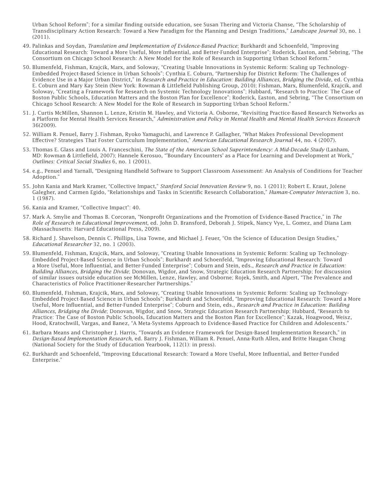Urban School Reform"; for a similar finding outside education, see Susan Thering and Victoria Chanse, "The Scholarship of Transdisciplinary Action Research: Toward a New Paradigm for the Planning and Design Traditions," *Landscape Journal* 30, no. 1 (2011).

- 49. Palinkas and Soydan, *Translation and Implementation of Evidence-Based Practice*; Burkhardt and Schoenfeld, "Improving Educational Research: Toward a More Useful, More Influential, and Better-Funded Enterprise"; Roderick, Easton, and Sebring, "The Consortium on Chicago School Research: A New Model for the Role of Research in Supporting Urban School Reform."
- 50. Blumenfeld, Fishman, Krajcik, Marx, and Soloway, "Creating Usable Innovations in Systemic Reform: Scaling up Technology-Embedded Project-Based Science in Urban Schools"; Cynthia E. Coburn, "Partnership for District Reform: The Challenges of Evidence Use in a Major Urban District," in *Research and Practice in Education: Building Alliances, Bridging the Divide*, ed. Cynthia E. Coburn and Mary Kay Stein (New York: Rowman & Littlefield Publishing Group, 2010); Fishman, Marx, Blumenfeld, Krajcik, and Soloway, "Creating a Framework for Research on Systemic Technology Innovations"; Hubbard, "Research to Practice: The Case of Boston Public Schools, Education Matters and the Boston Plan for Excellence"; Roderick, Easton, and Sebring, "The Consortium on Chicago School Research: A New Model for the Role of Research in Supporting Urban School Reform."
- 51. J. Curtis McMillen, Shannon L. Lenze, Kristin M. Hawley, and Victoria A. Osborne, "Revisiting Practice-Based Research Networks as a Platform for Mental Health Services Research," *Administration and Policy in Mental Health and Mental Health Services Research*  36(2009).
- 52. William R. Penuel, Barry J. Fishman, Ryoko Yamaguchi, and Lawrence P. Gallagher, "What Makes Professional Development Effective? Strategies That Foster Curriculum Implementation," American Educational Research Journal 44, no. 4 (2007).
- 53. Thomas E. Glass and Louis A. Franceschini, *The State of the American School Superintendency: A Mid-Decade Study* (Lanham, MD: Rowman & Littlefield, 2007); Hannele Kerosuo, "'Boundary Encounters' as a Place for Learning and Development at Work," *Outlines: Critical Social Studies* 6, no. 1 (2001).
- 54. e.g., Penuel and Yarnall, "Designing Handheld Software to Support Classroom Assessment: An Analysis of Conditions for Teacher Adoption."
- 55. John Kania and Mark Kramer, "Collective Impact," *Stanford Social Innovation Review* 9, no. 1 (2011); Robert E. Kraut, Jolene Galegher, and Carmen Egido, "Relationships and Tasks in Scientific Research Collaboration," *Human-Computer Interaction* 3, no. 1 (1987).
- 56. Kania and Kramer, "Collective Impact": 40.
- 57. Mark A. Smylie and Thomas B. Corcoran, "Nonprofit Organizations and the Promotion of Evidence-Based Practice," in The *Role of Research in Educational Improvement*, ed. John D. Bransford, Deborah J. Stipek, Nancy Vye, L. Gomez, and Diana Lam (Massachusetts: Harvard Educational Press, 2009).
- 58. Richard J. Shavelson, Dennis C. Phillips, Lisa Towne, and Michael J. Feuer, "On the Science of Education Design Studies," *Educational Researcher* 32, no. 1 (2003).
- 59. Blumenfeld, Fishman, Krajcik, Marx, and Soloway, "Creating Usable Innovations in Systemic Reform: Scaling up Technology-Embedded Project-Based Science in Urban Schools"; Burkhardt and Schoenfeld, "Improving Educational Research: Toward a More Useful, More Influential, and Better-Funded Enterprise"; Coburn and Stein, eds., *Research and Practice in Education: Building Alliances, Bridging the Divide*; Donovan, Wigdor, and Snow, Strategic Education Research Partnership; for discussion of similar issues outside education see McMillen, Lenze, Hawley, and Osborne; Rojek, Smith, and Alpert, "The Prevalence and Characteristics of Police Practitioner-Researcher Partnerships."
- 60. Blumenfeld, Fishman, Krajcik, Marx, and Soloway, "Creating Usable Innovations in Systemic Reform: Scaling up Technology-Embedded Project-Based Science in Urban Schools"; Burkhardt and Schoenfeld, "Improving Educational Research: Toward a More Useful, More In"uential, and Better-Funded Enterprise"; Coburn and Stein, eds., *Research and Practice in Education: Building Alliances, Bridging the Divide*; Donovan, Wigdor, and Snow, Strategic Education Research Partnership; Hubbard, "Research to Practice: The Case of Boston Public Schools, Education Matters and the Boston Plan for Excellence"; Kazak, Hoagwood, Weisz, Hood, Kratochwill, Vargas, and Banez, "A Meta-Systems Approach to Evidence-Based Practice for Children and Adolescents."
- 61. Barbara Means and Christopher J. Harris, "Towards an Evidence Framework for Design-Based Implementation Research," in *Design-Based Implementation Research*, ed. Barry J. Fishman, William R. Penuel, Anna-Ruth Allen, and Britte Haugan Cheng (National Society for the Study of Education Yearbook, 112(1): in press).
- 62. Burkhardt and Schoenfeld, "Improving Educational Research: Toward a More Useful, More Influential, and Better-Funded Enterprise."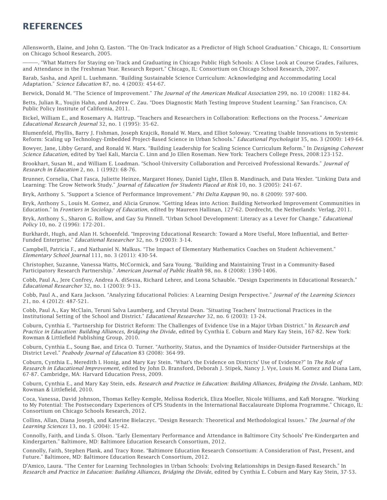### **REFERENCES**

Allensworth, Elaine, and John Q. Easton. "The On-Track Indicator as a Predictor of High School Graduation." Chicago, IL: Consortium on Chicago School Research, 2005.

———. "What Matters for Staying on-Track and Graduating in Chicago Public High Schools: A Close Look at Course Grades, Failures, and Attendance in the Freshman Year. Research Report." Chicago, IL: Consortium on Chicago School Research, 2007.

Barab, Sasha, and April L. Luehmann. "Building Sustainable Science Curriculum: Acknowledging and Accommodating Local Adaptation." *Science Education* 87, no. 4 (2003): 454-67.

Berwick, Donald M. "The Science of Improvement." *The Journal of the American Medical Association* 299, no. 10 (2008): 1182-84.

Betts, Julian R., Youjin Hahn, and Andrew C. Zau. "Does Diagnostic Math Testing Improve Student Learning." San Francisco, CA: Public Policy Institute of California, 2011.

Bickel, William E., and Rosemary A. Hattrup. "Teachers and Researchers in Collaboration: Reflections on the Process." American *Educational Research Journal* 32, no. 1 (1995): 35-62.

Blumenfeld, Phyllis, Barry J. Fishman, Joseph Krajcik, Ronald W. Marx, and Elliot Soloway. "Creating Usable Innovations in Systemic Reform: Scaling up Technology-Embedded Project-Based Science in Urban Schools." *Educational Psychologist* 35, no. 3 (2000): 149-64.

Bowyer, Jane, Libby Gerard, and Ronald W. Marx. "Building Leadership for Scaling Science Curriculum Reform." In *Designing Coherent Science Education*, edited by Yael Kali, Marcia C. Linn and Jo Ellen Roseman. New York: Teachers College Press, 2008:123-152.

Brookhart, Susan M., and William E. Loadman. "School-University Collaboration and Perceived Professional Rewards." *Journal of Research in Education* 2, no. 1 (1992): 68-76.

Brunner, Cornelia, Chat Fasca, Juliette Heinze, Margaret Honey, Daniel Light, Ellen B. Mandinach, and Data Wexler. "Linking Data and Learning: The Grow Network Study." *Journal of Education for Students Placed at Risk* 10, no. 3 (2005): 241-67.

Bryk, Anthony S. "Support a Science of Performance Improvement." *Phi Delta Kappan* 90, no. 8 (2009): 597-600.

Bryk, Anthony S., Louis M. Gomez, and Alicia Grunow. "Getting Ideas into Action: Building Networked Improvement Communities in Education." In *Frontiers in Sociology of Education*, edited by Maureen Hallinan, 127-62. Dordrecht, the Netherlands: Verlag, 2011.

Bryk, Anthony S., Sharon G. Rollow, and Gay Su Pinnell. "Urban School Development: Literacy as a Lever for Change." *Educational Policy* 10, no. 2 (1996): 172-201.

Burkhardt, Hugh, and Alan H. Schoenfeld. "Improving Educational Research: Toward a More Useful, More Influential, and Better-Funded Enterprise." *Educational Researcher* 32, no. 9 (2003): 3-14.

Campbell, Patricia F., and Nathaniel N. Malkus. "The Impact of Elementary Mathematics Coaches on Student Achievement." *Elementary School Journal* 111, no. 3 (2011): 430-54.

Christopher, Suzanne, Vanessa Watts, McCormick, and Sara Young. "Building and Maintaining Trust in a Community-Based Participatory Research Partnership." *American Journal of Public Health* 98, no. 8 (2008): 1390-1406.

Cobb, Paul A., Jere Confrey, Andrea A. diSessa, Richard Lehrer, and Leona Schauble. "Design Experiments in Educational Research." *Educational Researcher* 32, no. 1 (2003): 9-13.

Cobb, Paul A., and Kara Jackson. "Analyzing Educational Policies: A Learning Design Perspective." *Journal of the Learning Sciences* 21, no. 4 (2012): 487-521.

Cobb, Paul A., Kay McClain, Teruni Salva Laumberg, and Chrystal Dean. "Situating Teachers' Instructional Practices in the Institutional Setting of the School and District." *Educational Researcher* 32, no. 6 (2003): 13-24.

Coburn, Cynthia E. "Partnership for District Reform: The Challenges of Evidence Use in a Major Urban District." In *Research and Practice in Education: Building Alliances, Bridging the Divide*, edited by Cynthia E. Coburn and Mary Kay Stein, 167-82. New York: Rowman & Littlefield Publishing Group, 2010.

Coburn, Cynthia E., Soung Bae, and Erica O. Turner. "Authority, Status, and the Dynamics of Insider-Outsider Partnerships at the District Level." *Peabody Journal of Education* 83 (2008): 364-99.

Coburn, Cynthia E., Meredith I. Honig, and Mary Kay Stein. "What's the Evidence on Districts' Use of Evidence?" In *The Role of Research in Educational Improvement*, edited by John D. Bransford, Deborah J. Stipek, Nancy J. Vye, Louis M. Gomez and Diana Lam, 67-87. Cambridge, MA: Harvard Education Press, 2009.

Coburn, Cynthia E., and Mary Kay Stein, eds. *Research and Practice in Education: Building Alliances, Bridging the Divide*. Lanham, MD: Rowman & Littlefield, 2010.

Coca, Vanessa, David Johnson, Thomas Kelley-Kemple, Melissa Roderick, Eliza Moeller, Nicole Williams, and Kafi Moragne. "Working to My Potential: The Postsecondary Experiences of CPS Students in the International Baccalaureate Diploma Programme." Chicago, IL: Consortium on Chicago Schools Research, 2012.

Collins, Allan, Diana Joseph, and Katerine Bielaczyc. "Design Research: Theoretical and Methodological Issues." *The Journal of the Learning Sciences* 13, no. 1 (2004): 15-42.

Connolly, Faith, and Linda S. Olson. "Early Elementary Performance and Attendance in Baltimore City Schools' Pre-Kindergarten and Kindergarten." Baltimore, MD: Baltimore Education Research Consortium, 2012.

Connolly, Faith, Stephen Plank, and Tracy Rone. "Baltimore Education Research Consortium: A Consideration of Past, Present, and Future." Baltimore, MD: Baltimore Education Research Consortium, 2012.

D'Amico, Laura. "The Center for Learning Technologies in Urban Schools: Evolving Relationships in Design-Based Research." In *Research and Practice in Education: Building Alliances, Bridging the Divide*, edited by Cynthia E. Coburn and Mary Kay Stein, 37-53.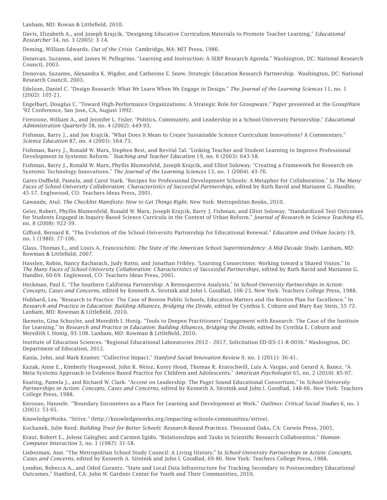Lanham, MD: Rowan & Littlefield, 2010.

Davis, Elizabeth A., and Joseph Krajcik. "Designing Educative Curriculum Materials to Promote Teacher Learning." *Educational Researcher* 34, no. 3 (2005): 3-14.

Deming, William Edwards. *Out of the Crisis* Cambridge, MA: MIT Press, 1986.

Donovan, Suzanne, and James W. Pellegrino. "Learning and Instruction: A SERP Research Agenda." Washington, DC: National Research Council, 2003.

Donovan, Suzanne, Alexandra K. Wigdor, and Catherine E. Snow. Strategic Education Research Partnership. Washington, DC: National Research Council, 2003.

Edelson, Daniel C. "Design Research: What We Learn When We Engage in Design." *The Journal of the Learning Sciences* 11, no. 1 (2002): 105-21.

Engelbart, Douglas C. "Toward High-Performance Organizations: A Strategic Role for Groupware." Paper presented at the GroupWare '92 Conference, San Jose, CA, August 1992.

Firestone, William A., and Jennifer L. Fisler. "Politics, Community, and Leadership in a School-University Partnership." *Educational Administration Quarterly* 38, no. 4 (2002): 449-93.

Fishman, Barry J., and Joe Krajcik. "What Does It Mean to Create Sustainable Science Curriculum Innovations? A Commentary." *Science Education* 87, no. 4 (2003): 564-73.

Fishman, Barry J., Ronald W. Marx, Stephen Best, and Revital Tal. "Linking Teacher and Student Learning to Improve Professional Development in Systemic Reform." *Teaching and Teacher Education* 19, no. 6 (2003): 643-58.

Fishman, Barry J., Ronald W. Marx, Phyllis Blumenfeld, Joseph Krajcik, and Elliot Soloway. "Creating a Framework for Research on Systemic Technology Innovations." *The Journal of the Learning Sciences* 13, no. 1 (2004): 43-76.

Gates-Duffield, Pamela, and Carol Stark. "Recipes for Professional Development Schools: A Metaphor for Collaboration." In *The Many Faces of School-University Collaboration: Characteristics of Successful Partnerships*, edited by Ruth Ravid and Marianne G. Handler, 45-57. Englewood, CO: Teachers Ideas Press, 2001.

Gawande, Atul. *The Checklist Manifesto: How to Get Things Right*. New York: Metropolitan Books, 2010.

Geier, Robert, Phyllis Blumenfeld, Ronald W. Marx, Joseph Krajcik, Barry J. Fishman, and Elliot Soloway. "Standardized Test Outcomes for Students Engaged in Inquiry-Based Science Curricula in the Context of Urban Reform." *Journal of Research in Science Teaching* 45, no. 8 (2008): 922-39.

Gifford, Bernard R. "The Evolution of the School-University Partnership for Educational Renewal." *Education and Urban Society* 19, no. 1 (1986): 77-106.

Glass, Thomas E., and Louis A. Franceschini. *The State of the American School Superintendency: A Mid-Decade Study*. Lanham, MD: Rowman & Littlefield, 2007.

Hasslen, Robin, Nancy Bacharach, Judy Rotto, and Jonathan Fribley. "Learning Connections: Working toward a Shared Vision." In *The Many Faces of School-University Collaboration: Characteristics of Successful Partnerships*, edited by Ruth Ravid and Marianne G. Handler, 60-69. Englewood, CO: Teachers Ideas Press, 2001.

Heckman, Paul E. "The Southern California Partnership: A Retrospective Analysis." In *School-University Partnerships in Action: Concepts, Cases and Concerns*, edited by Kenneth A. Sirotnik and John I. Goodlad, 106-23. New York: Teachers College Press, 1988.

Hubbard, Lea. "Research to Practice: The Case of Boston Public Schools, Education Matters and the Boston Plan for Excellence." In *Research and Practice in Education: Building Alliances, Bridging the Divide*, edited by Cynthia E. Coburn and Mary Kay Stein, 55-72. Lanham, MD: Rowman & Littlefield, 2010.

Ikemoto, Gina Schuyler, and Meredith I. Honig. "Tools to Deepen Practitioners' Engagement with Research: The Case of the Institute for Learning." In *Research and Practice in Education: Building Alliances, Bridging the Divide*, edited by Cynthia E. Coburn and Meredith I. Honig, 93-108. Lanham, MD: Rowman & Littlefield, 2010.

Institute of Education Sciences. "Regional Educational Laboratories 2012 - 2017, Solicitation ED-IES-11-R-0036." Washington, DC: Department of Education, 2012.

Kania, John, and Mark Kramer. "Collective Impact." *Stanford Social Innovation Review* 9, no. 1 (2011): 36-41.

Kazak, Anne E., Kimberly Hoagwood, John R. Weisz, Korey Hood, Thomas R. Kratochwill, Luis A. Vargas, and Gerard A. Banez. "A Meta-Systems Approach to Evidence-Based Practice for Children and Adolescents." *American Psychologist* 65, no. 2 (2010): 85-97.

Keating, Pamela J., and Richard W. Clark. "Accent on Leadership: The Puget Sound Educational Consortium." In *School-University Partnerships in Action: Concepts, Cases and Concerns*, edited by Kenneth A. Sirotnik and John I. Goodlad, 148-66. New York: Teachers College Press, 1988.

Kerosuo, Hannele. "'Boundary Encounters as a Place for Learning and Development at Work." *Outlines: Critical Social Studies* 6, no. 1 (2001): 53-65.

KnowledgeWorks. "Strive." (http://knowledgeworks.org/impacting-schools-communities/strive).

Kochanek, Julie Reed. *Building Trust for Better Schools: Research-Based Practices*. Thousand Oaks, CA: Corwin Press, 2005.

Kraut, Robert E., Jolene Galegher, and Carmen Egido. "Relationships and Tasks in Scientific Research Collaboration." *Human-Computer Interaction* 3, no. 1 (1987): 31-58.

Lieberman, Ann. "The Metropolitan School Study Council: A Living History." In *School-University Partnerships in Action: Concepts, Cases and Concerns*, edited by Kenneth A. Sirotnik and John I. Goodlad, 69-86. New York: Teachers College Press, 1988.

London, Rebecca A., and Oded Gurantz. "State and Local Data Infrastructure for Tracking Secondary to Postsecondary Educational Outcomes." Stanford, CA: John W. Gardner Center for Youth and Their Communities, 2010.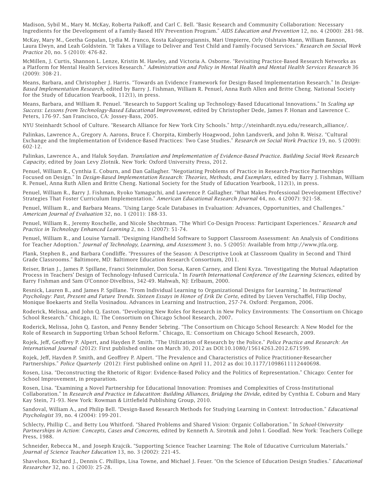Madison, Sybil M., Mary M. McKay, Roberta Paikoff, and Carl C. Bell. "Basic Research and Community Collaboration: Necessary Ingredients for the Development of a Family-Based HIV Prevention Program." *AIDS Education and Prevention* 12, no. 4 (2000): 281-98.

McKay, Mary M., Geetha Gopalan, Lydia M. Franco, Kosta Kalogerogiannis, Mari Umpierre, Orly Olshtain-Mann, William Bannon, Laura Elwyn, and Leah Goldstein. "It Takes a Village to Deliver and Test Child and Family-Focused Services." *Research on Social Work Practice* 20, no. 5 (2010): 476-82.

McMillen, J. Curtis, Shannon L. Lenze, Kristin M. Hawley, and Victoria A. Osborne. "Revisiting Practice-Based Research Networks as a Platform for Mental Health Services Research." *Administration and Policy in Mental Health and Mental Health Services Research* 36 (2009): 308-21.

Means, Barbara, and Christopher J. Harris. "Towards an Evidence Framework for Design-Based Implementation Research." In *Design-Based Implementation Research*, edited by Barry J. Fishman, William R. Penuel, Anna Ruth Allen and Britte Cheng. National Society for the Study of Education Yearbook, 112(1), in press.

Means, Barbara, and William R. Penuel. "Research to Support Scaling up Technology-Based Educational Innovations." In *Scaling up Success: Lessons from Technology-Based Educational Improvement*, edited by Christopher Dede, James P. Honan and Lawrence C. Peters, 176-97. San Francisco, CA: Jossey-Bass, 2005.

NYU Steinhardt School of Culture. "Research Alliance for New York City Schools." http://steinhardt.nyu.edu/research\_alliance/.

Palinkas, Lawrence A., Gregory A. Aarons, Bruce F. Chorpita, Kimberly Hoagwood, John Landsverk, and John R. Weisz. "Cultural Exchange and the Implementation of Evidence-Based Practices: Two Case Studies." *Research on Social Work Practice* 19, no. 5 (2009): 602-12.

Palinkas, Lawrence A., and Haluk Soydan. *Translation and Implementation of Evidence-Based Practice. Building Social Work Research Capacity*, edited by Joan Levy Zlotnik. New York: Oxford University Press, 2012.

Penuel, William R., Cynthia E. Coburn, and Dan Gallagher. "Negotiating Problems of Practice in Research-Practice Partnerships Focused on Design." In *Design-Based Implementation Research: Theories, Methods, and Exemplars*, edited by Barry J. Fishman, William R. Penuel, Anna Ruth Allen and Britte Cheng. National Society for the Study of Education Yearbook, 112(1), in press.

Penuel, William R., Barry J. Fishman, Ryoko Yamaguchi, and Lawrence P. Gallagher. "What Makes Professional Development Effective? Strategies That Foster Curriculum Implementation." *American Educational Research Journal* 44, no. 4 (2007): 921-58.

Penuel, William R., and Barbara Means. "Using Large-Scale Databases in Evaluation: Advances, Opportunities, and Challenges." *American Journal of Evaluation* 32, no. 1 (2011): 188-33.

Penuel, William R., Jeremy Roschelle, and Nicole Shechtman. "The Whirl Co-Design Process: Participant Experiences." *Research and Practice in Technology Enhanced Learning* 2, no. 1 (2007): 51-74.

Penuel, William R., and Louise Yarnall. "Designing Handheld Software to Support Classroom Assessment: An Analysis of Conditions for Teacher Adoption." *Journal of Technology, Learning, and Assessment* 3, no. 5 (2005): Available from http://www.jtla.org.

Plank, Stephen B., and Barbara Condliffe. "Pressures of the Season: A Descriptive Look at Classroom Quality in Second and Third Grade Classrooms." Baltimore, MD: Baltimore Education Research Consortium, 2011.

Reiser, Brian J., James P. Spillane, Franci Steinmuler, Don Sorsa, Karen Carney, and Eleni Kyza. "Investigating the Mutual Adaptation Process in Teachers' Design of Technology-Infused Curricula." In *Fourth International Conference of the Learning Sciences*, edited by Barry Fishman and Sam O'Connor-Divelbiss, 342-49. Mahwah, NJ: Erlbaum, 2000.

Resnick, Lauren B., and James P. Spillane. "From Individual Learning to Organizational Designs for Learning." In *Instructional*  Psychology: Past, Present and Future Trends. Sixteen Essays in Honor of Erik De Corte, edited by Lieven Verschaffel, Filip Dochy, Monique Boekaerts and Stella Vosinadou. Advances in Learning and Instruction, 257-74. Oxford: Pergamon, 2006.

Roderick, Melissa, and John Q. Easton. "Developing New Roles for Research in New Policy Environments: The Consortium on Chicago School Research." Chicago, IL: The Consortium on Chicago School Research, 2007.

Roderick, Melissa, John Q. Easton, and Penny Bender Sebring. "The Consortium on Chicago School Research: A New Model for the Role of Research in Supporting Urban School Reform." Chicago, IL: Consortium on Chicago School Research, 2009.

Rojek, Jeff, Geoffrey P. Alpert, and Hayden P. Smith. "The Utilization of Research by the Police." *Police Practice and Research: An International Journal* (2012): First published online on March 30, 2012 as DOI:10.1080/15614263.2012.671599.

Rojek, Jeff, Hayden P. Smith, and Geoffrey P. Alpert. "The Prevalence and Characteristics of Police Practitioner-Researcher Partnerships." *Police Quarterly* (2012): First published online on April 11, 2012 as doi:10.1177/1098611112440698.

Rosen, Lisa. "Deconstructing the Rhetoric of Rigor: Evidence-Based Policy and the Politics of Representation." Chicago: Center for School Improvement, in preparation.

Rosen, Lisa. "Examining a Novel Partnership for Educational Innovation: Promises and Complexities of Cross-Institutional Collaboration." In *Research and Practice in Educatiton: Building Alliances, Bridging the Divide,* edited by Cynthia E. Coburn and Mary Kay Stein, 71-93. New York: Rowman & Littlefield Publishing Group, 2010.

Sandoval, William A., and Philip Bell. "Design-Based Research Methods for Studying Learning in Context: Introduction." *Educational Psychologist* 39, no. 4 (2004): 199-201.

Schlecty, Phillip C., and Betty Lou Whitford. "Shared Problems and Shared Vision: Organic Collaboration." In *School-University Partnerships in Action: Concepts, Cases and Concerns*, edited by Kenneth A. Sirotnik and John I. Goodlad. New York: Teachers College Press, 1988.

Schneider, Rebecca M., and Joseph Krajcik. "Supporting Science Teacher Learning: The Role of Educative Curriculum Materials." *Journal of Science Teacher Education* 13, no. 3 (2002): 221-45.

Shavelson, Richard J., Dennis C. Phillips, Lisa Towne, and Michael J. Feuer. "On the Science of Education Design Studies." *Educational Researcher* 32, no. 1 (2003): 25-28.